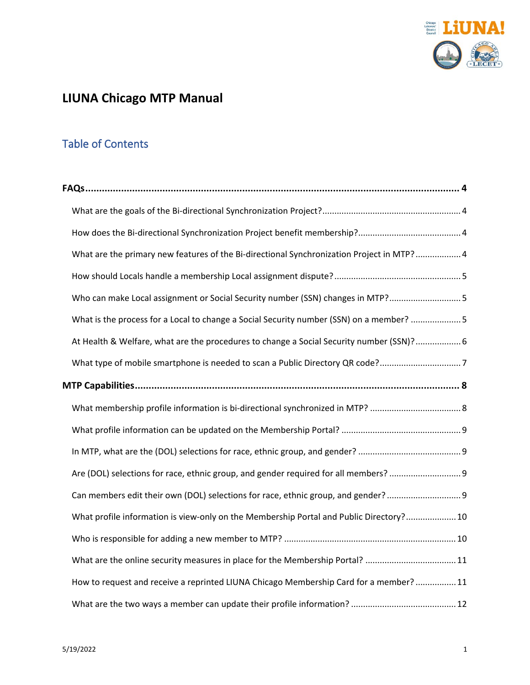

# **LIUNA Chicago MTP Manual**

# Table of Contents

| What are the primary new features of the Bi-directional Synchronization Project in MTP? 4 |
|-------------------------------------------------------------------------------------------|
|                                                                                           |
| Who can make Local assignment or Social Security number (SSN) changes in MTP? 5           |
| What is the process for a Local to change a Social Security number (SSN) on a member? 5   |
| At Health & Welfare, what are the procedures to change a Social Security number (SSN)? 6  |
| What type of mobile smartphone is needed to scan a Public Directory QR code?7             |
|                                                                                           |
|                                                                                           |
|                                                                                           |
|                                                                                           |
| Are (DOL) selections for race, ethnic group, and gender required for all members?         |
| Can members edit their own (DOL) selections for race, ethnic group, and gender?           |
| What profile information is view-only on the Membership Portal and Public Directory? 10   |
|                                                                                           |
| What are the online security measures in place for the Membership Portal? 11              |
| How to request and receive a reprinted LIUNA Chicago Membership Card for a member?  11    |
|                                                                                           |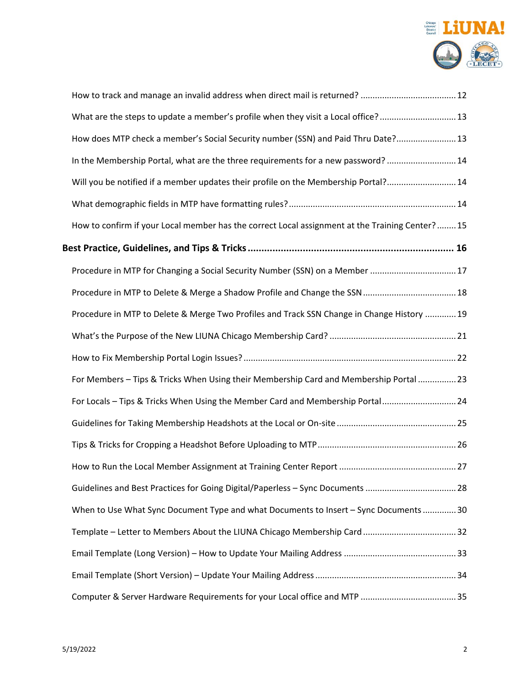

| What are the steps to update a member's profile when they visit a Local office? 13              |  |
|-------------------------------------------------------------------------------------------------|--|
| How does MTP check a member's Social Security number (SSN) and Paid Thru Date? 13               |  |
| In the Membership Portal, what are the three requirements for a new password? 14                |  |
| Will you be notified if a member updates their profile on the Membership Portal? 14             |  |
|                                                                                                 |  |
| How to confirm if your Local member has the correct Local assignment at the Training Center? 15 |  |
| Best Practice, Guidelines, and Tips & Tricks …………………………………………………………………… 16                      |  |
| Procedure in MTP for Changing a Social Security Number (SSN) on a Member  17                    |  |
|                                                                                                 |  |
| Procedure in MTP to Delete & Merge Two Profiles and Track SSN Change in Change History  19      |  |
|                                                                                                 |  |
|                                                                                                 |  |
| For Members - Tips & Tricks When Using their Membership Card and Membership Portal  23          |  |
| For Locals - Tips & Tricks When Using the Member Card and Membership Portal 24                  |  |
|                                                                                                 |  |
|                                                                                                 |  |
|                                                                                                 |  |
| Guidelines and Best Practices for Going Digital/Paperless - Sync Documents 28                   |  |
| When to Use What Sync Document Type and what Documents to Insert - Sync Documents  30           |  |
|                                                                                                 |  |
|                                                                                                 |  |
|                                                                                                 |  |
|                                                                                                 |  |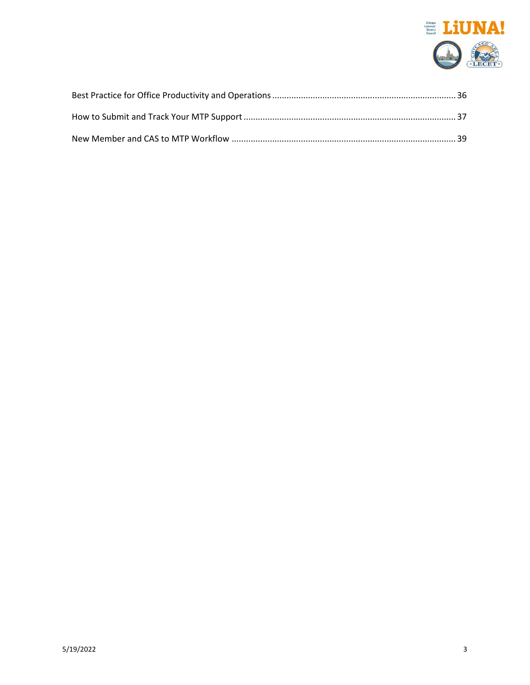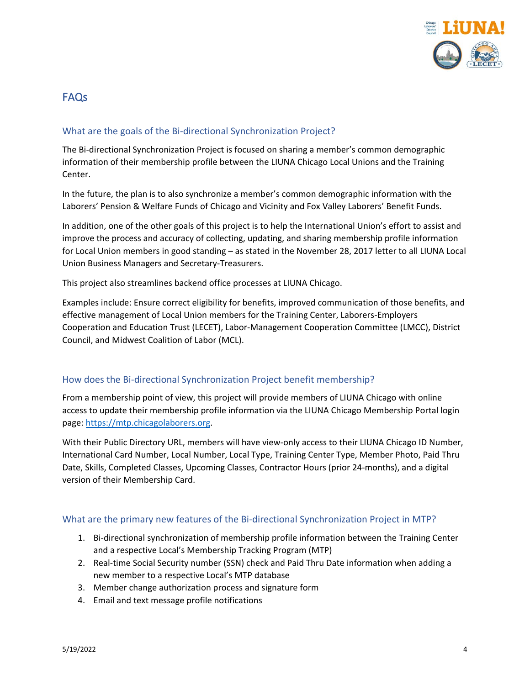

# <span id="page-3-0"></span>FAQs

## <span id="page-3-1"></span>What are the goals of the Bi-directional Synchronization Project?

The Bi-directional Synchronization Project is focused on sharing a member's common demographic information of their membership profile between the LIUNA Chicago Local Unions and the Training Center.

In the future, the plan is to also synchronize a member's common demographic information with the Laborers' Pension & Welfare Funds of Chicago and Vicinity and Fox Valley Laborers' Benefit Funds.

In addition, one of the other goals of this project is to help the International Union's effort to assist and improve the process and accuracy of collecting, updating, and sharing membership profile information for Local Union members in good standing – as stated in the November 28, 2017 letter to all LIUNA Local Union Business Managers and Secretary-Treasurers.

This project also streamlines backend office processes at LIUNA Chicago.

Examples include: Ensure correct eligibility for benefits, improved communication of those benefits, and effective management of Local Union members for the Training Center, Laborers-Employers Cooperation and Education Trust (LECET), Labor-Management Cooperation Committee (LMCC), District Council, and Midwest Coalition of Labor (MCL).

#### <span id="page-3-2"></span>How does the Bi-directional Synchronization Project benefit membership?

From a membership point of view, this project will provide members of LIUNA Chicago with online access to update their membership profile information via the LIUNA Chicago Membership Portal login page: [https://mtp.chicagolaborers.org.](https://mtp.chicagolaborers.org/)

With their Public Directory URL, members will have view-only access to their LIUNA Chicago ID Number, International Card Number, Local Number, Local Type, Training Center Type, Member Photo, Paid Thru Date, Skills, Completed Classes, Upcoming Classes, Contractor Hours (prior 24-months), and a digital version of their Membership Card.

#### <span id="page-3-3"></span>What are the primary new features of the Bi-directional Synchronization Project in MTP?

- 1. Bi-directional synchronization of membership profile information between the Training Center and a respective Local's Membership Tracking Program (MTP)
- 2. Real-time Social Security number (SSN) check and Paid Thru Date information when adding a new member to a respective Local's MTP database
- 3. Member change authorization process and signature form
- 4. Email and text message profile notifications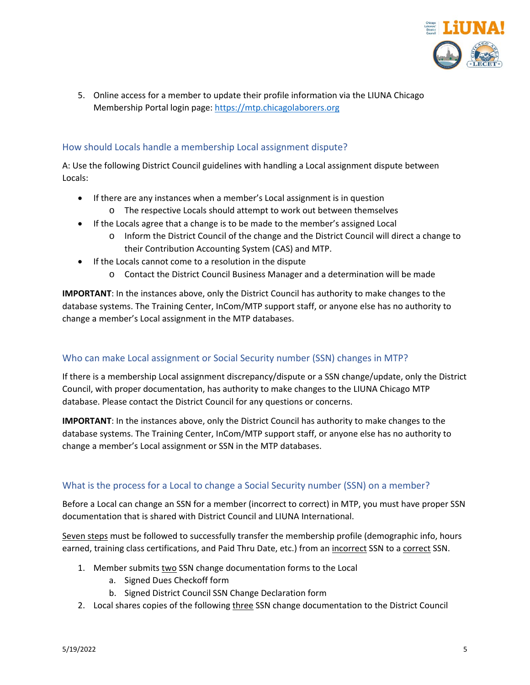

5. Online access for a member to update their profile information via the LIUNA Chicago Membership Portal login page: [https://mtp.chicagolaborers.org](https://mtp.chicagolaborers.org/)

# <span id="page-4-0"></span>How should Locals handle a membership Local assignment dispute?

A: Use the following District Council guidelines with handling a Local assignment dispute between Locals:

- If there are any instances when a member's Local assignment is in question
	- o The respective Locals should attempt to work out between themselves
- If the Locals agree that a change is to be made to the member's assigned Local
	- o Inform the District Council of the change and the District Council will direct a change to their Contribution Accounting System (CAS) and MTP.
- If the Locals cannot come to a resolution in the dispute
	- o Contact the District Council Business Manager and a determination will be made

**IMPORTANT**: In the instances above, only the District Council has authority to make changes to the database systems. The Training Center, InCom/MTP support staff, or anyone else has no authority to change a member's Local assignment in the MTP databases.

## <span id="page-4-1"></span>Who can make Local assignment or Social Security number (SSN) changes in MTP?

If there is a membership Local assignment discrepancy/dispute or a SSN change/update, only the District Council, with proper documentation, has authority to make changes to the LIUNA Chicago MTP database. Please contact the District Council for any questions or concerns.

**IMPORTANT**: In the instances above, only the District Council has authority to make changes to the database systems. The Training Center, InCom/MTP support staff, or anyone else has no authority to change a member's Local assignment or SSN in the MTP databases.

## <span id="page-4-2"></span>What is the process for a Local to change a Social Security number (SSN) on a member?

Before a Local can change an SSN for a member (incorrect to correct) in MTP, you must have proper SSN documentation that is shared with District Council and LIUNA International.

Seven steps must be followed to successfully transfer the membership profile (demographic info, hours earned, training class certifications, and Paid Thru Date, etc.) from an incorrect SSN to a correct SSN.

- 1. Member submits two SSN change documentation forms to the Local
	- a. Signed Dues Checkoff form
	- b. Signed District Council SSN Change Declaration form
- 2. Local shares copies of the following three SSN change documentation to the District Council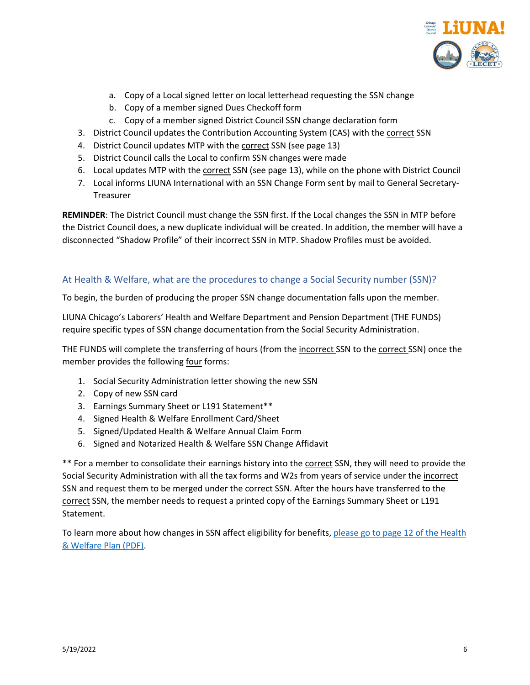

- a. Copy of a Local signed letter on local letterhead requesting the SSN change
- b. Copy of a member signed Dues Checkoff form
- c. Copy of a member signed District Council SSN change declaration form
- 3. District Council updates the Contribution Accounting System (CAS) with the correct SSN
- 4. District Council updates MTP with the correct SSN (see page 13)
- 5. District Council calls the Local to confirm SSN changes were made
- 6. Local updates MTP with the correct SSN (see page 13), while on the phone with District Council
- 7. Local informs LIUNA International with an SSN Change Form sent by mail to General Secretary-**Treasurer**

**REMINDER**: The District Council must change the SSN first. If the Local changes the SSN in MTP before the District Council does, a new duplicate individual will be created. In addition, the member will have a disconnected "Shadow Profile" of their incorrect SSN in MTP. Shadow Profiles must be avoided.

## <span id="page-5-0"></span>At Health & Welfare, what are the procedures to change a Social Security number (SSN)?

To begin, the burden of producing the proper SSN change documentation falls upon the member.

LIUNA Chicago's Laborers' Health and Welfare Department and Pension Department (THE FUNDS) require specific types of SSN change documentation from the Social Security Administration.

THE FUNDS will complete the transferring of hours (from the incorrect SSN to the correct SSN) once the member provides the following four forms:

- 1. Social Security Administration letter showing the new SSN
- 2. Copy of new SSN card
- 3. Earnings Summary Sheet or L191 Statement\*\*
- 4. Signed Health & Welfare Enrollment Card/Sheet
- 5. Signed/Updated Health & Welfare Annual Claim Form
- 6. Signed and Notarized Health & Welfare SSN Change Affidavit

\*\* For a member to consolidate their earnings history into the correct SSN, they will need to provide the Social Security Administration with all the tax forms and W2s from years of service under the incorrect SSN and request them to be merged under the correct SSN. After the hours have transferred to the correct SSN, the member needs to request a printed copy of the Earnings Summary Sheet or L191 Statement.

To learn more about how changes in SSN affect eligibility for benefits, please go to page 12 of the Health [& Welfare Plan \(PDF\).](https://www.chicagolaborersfunds.com/public/files/W_SPD%20Active%20Plan1.pdf)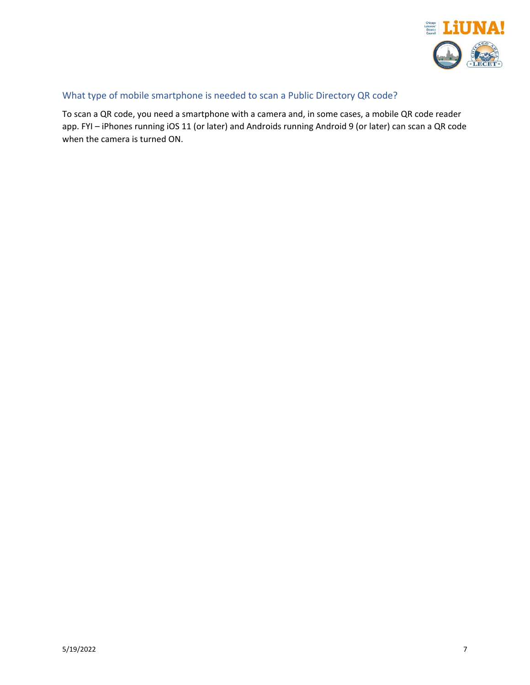

# <span id="page-6-0"></span>What type of mobile smartphone is needed to scan a Public Directory QR code?

To scan a QR code, you need a smartphone with a camera and, in some cases, a mobile QR code reader app. FYI – iPhones running iOS 11 (or later) and Androids running Android 9 (or later) can scan a QR code when the camera is turned ON.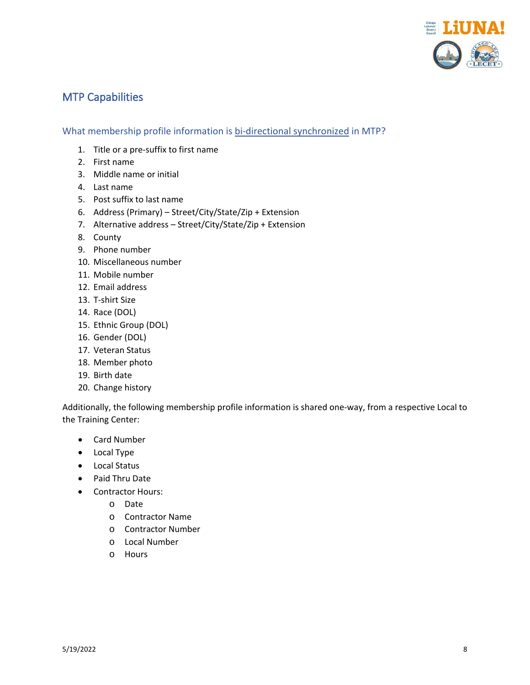

# <span id="page-7-0"></span>MTP Capabilities

<span id="page-7-1"></span>What membership profile information is bi-directional synchronized in MTP?

- 1. Title or a pre-suffix to first name
- 2. First name
- 3. Middle name or initial
- 4. Last name
- 5. Post suffix to last name
- 6. Address (Primary) Street/City/State/Zip + Extension
- 7. Alternative address Street/City/State/Zip + Extension
- 8. County
- 9. Phone number
- 10. Miscellaneous number
- 11. Mobile number
- 12. Email address
- 13. T-shirt Size
- 14. Race (DOL)
- 15. Ethnic Group (DOL)
- 16. Gender (DOL)
- 17. Veteran Status
- 18. Member photo
- 19. Birth date
- 20. Change history

Additionally, the following membership profile information is shared one-way, from a respective Local to the Training Center:

- Card Number
- Local Type
- Local Status
- Paid Thru Date
- Contractor Hours:
	- o Date
	- o Contractor Name
	- o Contractor Number
	- o Local Number
	- o Hours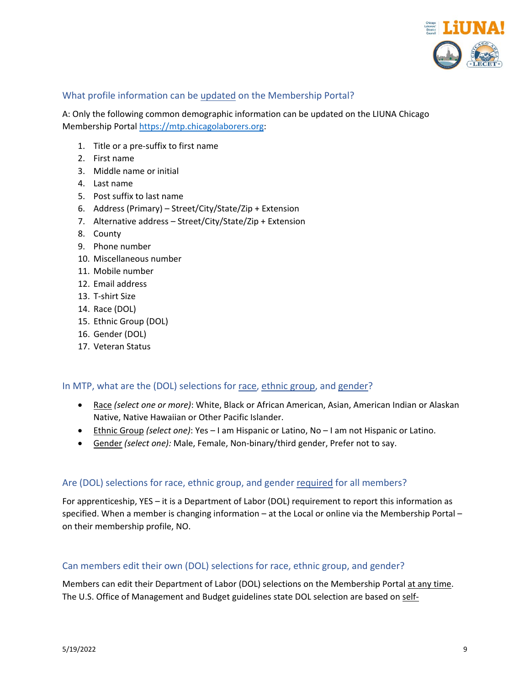

## <span id="page-8-0"></span>What profile information can be updated on the Membership Portal?

A: Only the following common demographic information can be updated on the LIUNA Chicago Membership Portal [https://mtp.chicagolaborers.org:](https://mtp.chicagolaborers.org/)

- 1. Title or a pre-suffix to first name
- 2. First name
- 3. Middle name or initial
- 4. Last name
- 5. Post suffix to last name
- 6. Address (Primary) Street/City/State/Zip + Extension
- 7. Alternative address Street/City/State/Zip + Extension
- 8. County
- 9. Phone number
- 10. Miscellaneous number
- 11. Mobile number
- 12. Email address
- 13. T-shirt Size
- 14. Race (DOL)
- 15. Ethnic Group (DOL)
- 16. Gender (DOL)
- 17. Veteran Status

#### <span id="page-8-1"></span>In MTP, what are the (DOL) selections for race, ethnic group, and gender?

- Race *(select one or more)*: White, Black or African American, Asian, American Indian or Alaskan Native, Native Hawaiian or Other Pacific Islander.
- Ethnic Group *(select one)*: Yes I am Hispanic or Latino, No I am not Hispanic or Latino.
- Gender *(select one):* Male, Female, Non-binary/third gender, Prefer not to say.

#### <span id="page-8-2"></span>Are (DOL) selections for race, ethnic group, and gender required for all members?

For apprenticeship, YES – it is a Department of Labor (DOL) requirement to report this information as specified. When a member is changing information – at the Local or online via the Membership Portal – on their membership profile, NO.

#### <span id="page-8-3"></span>Can members edit their own (DOL) selections for race, ethnic group, and gender?

Members can edit their Department of Labor (DOL) selections on the Membership Portal at any time. The U.S. Office of Management and Budget guidelines state DOL selection are based on self-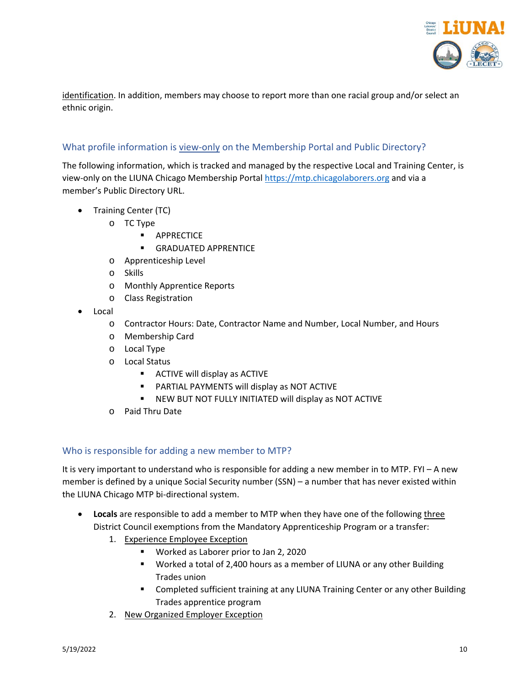

identification. In addition, members may choose to report more than one racial group and/or select an ethnic origin.

# <span id="page-9-0"></span>What profile information is view-only on the Membership Portal and Public Directory?

The following information, which is tracked and managed by the respective Local and Training Center, is view-only on the LIUNA Chicago Membership Portal [https://mtp.chicagolaborers.org](https://mtp.chicagolaborers.org/) and via a member's Public Directory URL.

- Training Center (TC)
	- o TC Type
		- APPRECTICE
		- **GRADUATED APPRENTICE**
	- o Apprenticeship Level
	- o Skills
	- o Monthly Apprentice Reports
	- o Class Registration
- Local
	- o Contractor Hours: Date, Contractor Name and Number, Local Number, and Hours
	- o Membership Card
	- o Local Type
	- o Local Status
		- **ACTIVE will display as ACTIVE**
		- PARTIAL PAYMENTS will display as NOT ACTIVE
		- NEW BUT NOT FULLY INITIATED will display as NOT ACTIVE
	- o Paid Thru Date

#### <span id="page-9-1"></span>Who is responsible for adding a new member to MTP?

It is very important to understand who is responsible for adding a new member in to MTP. FYI – A new member is defined by a unique Social Security number (SSN) – a number that has never existed within the LIUNA Chicago MTP bi-directional system.

- **Locals** are responsible to add a member to MTP when they have one of the following three District Council exemptions from the Mandatory Apprenticeship Program or a transfer:
	- 1. Experience Employee Exception
		- Worked as Laborer prior to Jan 2, 2020
		- Worked a total of 2,400 hours as a member of LIUNA or any other Building Trades union
		- Completed sufficient training at any LIUNA Training Center or any other Building Trades apprentice program
	- 2. New Organized Employer Exception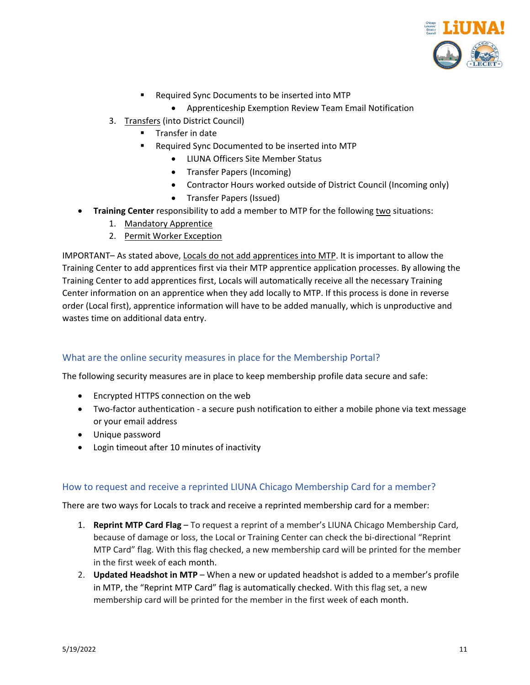

- Required Sync Documents to be inserted into MTP
	- Apprenticeship Exemption Review Team Email Notification
- 3. Transfers (into District Council)
	- Transfer in date
	- Required Sync Documented to be inserted into MTP
		- LIUNA Officers Site Member Status
		- Transfer Papers (Incoming)
		- Contractor Hours worked outside of District Council (Incoming only)
		- Transfer Papers (Issued)
- **Training Center** responsibility to add a member to MTP for the following two situations:
	- 1. Mandatory Apprentice
	- 2. Permit Worker Exception

IMPORTANT– As stated above, Locals do not add apprentices into MTP. It is important to allow the Training Center to add apprentices first via their MTP apprentice application processes. By allowing the Training Center to add apprentices first, Locals will automatically receive all the necessary Training Center information on an apprentice when they add locally to MTP. If this process is done in reverse order (Local first), apprentice information will have to be added manually, which is unproductive and wastes time on additional data entry.

#### <span id="page-10-0"></span>What are the online security measures in place for the Membership Portal?

The following security measures are in place to keep membership profile data secure and safe:

- Encrypted HTTPS connection on the web
- Two-factor authentication a secure push notification to either a mobile phone via text message or your email address
- Unique password
- Login timeout after 10 minutes of inactivity

#### <span id="page-10-1"></span>How to request and receive a reprinted LIUNA Chicago Membership Card for a member?

There are two ways for Locals to track and receive a reprinted membership card for a member:

- 1. **Reprint MTP Card Flag**  To request a reprint of a member's LIUNA Chicago Membership Card, because of damage or loss, the Local or Training Center can check the bi-directional "Reprint MTP Card" flag. With this flag checked, a new membership card will be printed for the member in the first week of each month.
- 2. **Updated Headshot in MTP** When a new or updated headshot is added to a member's profile in MTP, the "Reprint MTP Card" flag is automatically checked. With this flag set, a new membership card will be printed for the member in the first week of each month.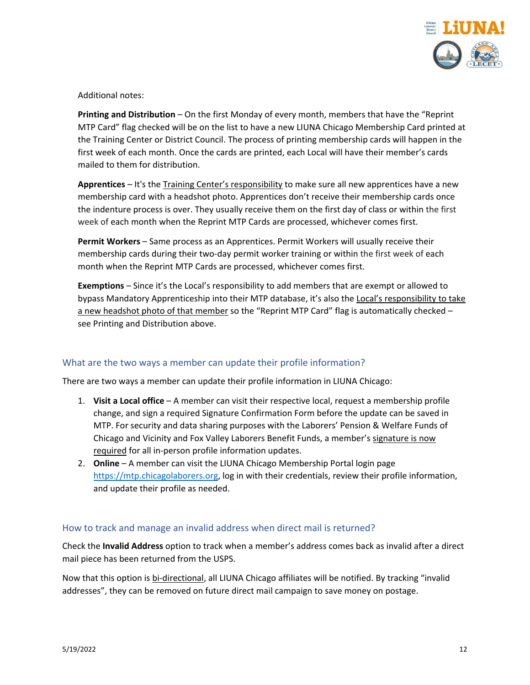

Additional notes:

**Printing and Distribution** – On the first Monday of every month, members that have the "Reprint MTP Card" flag checked will be on the list to have a new LIUNA Chicago Membership Card printed at the Training Center or District Council. The process of printing membership cards will happen in the first week of each month. Once the cards are printed, each Local will have their member's cards mailed to them for distribution.

**Apprentices** – It's the Training Center's responsibility to make sure all new apprentices have a new membership card with a headshot photo. Apprentices don't receive their membership cards once the indenture process is over. They usually receive them on the first day of class or within the first week of each month when the Reprint MTP Cards are processed, whichever comes first.

**Permit Workers** – Same process as an Apprentices. Permit Workers will usually receive their membership cards during their two-day permit worker training or within the first week of each month when the Reprint MTP Cards are processed, whichever comes first.

**Exemptions** – Since it's the Local's responsibility to add members that are exempt or allowed to bypass Mandatory Apprenticeship into their MTP database, it's also the Local's responsibility to take a new headshot photo of that member so the "Reprint MTP Card" flag is automatically checked see Printing and Distribution above.

## <span id="page-11-0"></span>What are the two ways a member can update their profile information?

There are two ways a member can update their profile information in LIUNA Chicago:

- 1. **Visit a Local office** A member can visit their respective local, request a membership profile change, and sign a required Signature Confirmation Form before the update can be saved in MTP. For security and data sharing purposes with the Laborers' Pension & Welfare Funds of Chicago and Vicinity and Fox Valley Laborers Benefit Funds, a member's signature is now required for all in-person profile information updates.
- 2. **Online**  A member can visit the LIUNA Chicago Membership Portal login page [https://mtp.chicagolaborers.org,](https://mtp.chicagolaborers.org/) log in with their credentials, review their profile information, and update their profile as needed.

#### <span id="page-11-1"></span>How to track and manage an invalid address when direct mail is returned?

Check the **Invalid Address** option to track when a member's address comes back as invalid after a direct mail piece has been returned from the USPS.

Now that this option is bi-directional, all LIUNA Chicago affiliates will be notified. By tracking "invalid addresses", they can be removed on future direct mail campaign to save money on postage.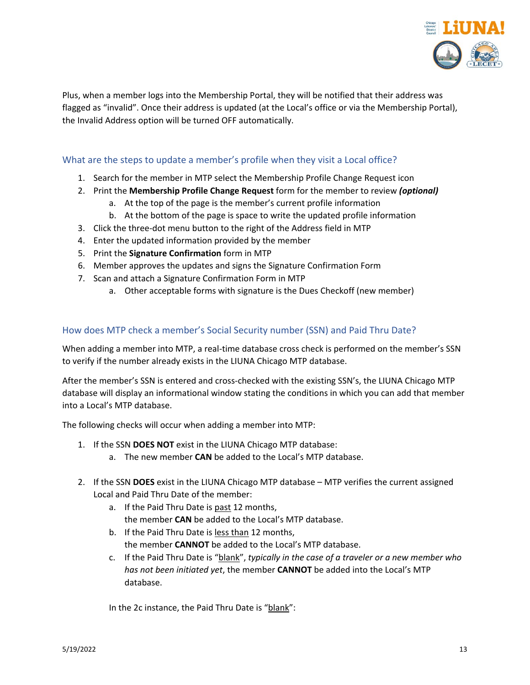

Plus, when a member logs into the Membership Portal, they will be notified that their address was flagged as "invalid". Once their address is updated (at the Local's office or via the Membership Portal), the Invalid Address option will be turned OFF automatically.

# <span id="page-12-0"></span>What are the steps to update a member's profile when they visit a Local office?

- 1. Search for the member in MTP select the Membership Profile Change Request icon
- 2. Print the **Membership Profile Change Request** form for the member to review *(optional)*
	- a. At the top of the page is the member's current profile information
	- b. At the bottom of the page is space to write the updated profile information
- 3. Click the three-dot menu button to the right of the Address field in MTP
- 4. Enter the updated information provided by the member
- 5. Print the **Signature Confirmation** form in MTP
- 6. Member approves the updates and signs the Signature Confirmation Form
- 7. Scan and attach a Signature Confirmation Form in MTP
	- a. Other acceptable forms with signature is the Dues Checkoff (new member)

## <span id="page-12-1"></span>How does MTP check a member's Social Security number (SSN) and Paid Thru Date?

When adding a member into MTP, a real-time database cross check is performed on the member's SSN to verify if the number already exists in the LIUNA Chicago MTP database.

After the member's SSN is entered and cross-checked with the existing SSN's, the LIUNA Chicago MTP database will display an informational window stating the conditions in which you can add that member into a Local's MTP database.

The following checks will occur when adding a member into MTP:

- 1. If the SSN **DOES NOT** exist in the LIUNA Chicago MTP database:
	- a. The new member **CAN** be added to the Local's MTP database.
- 2. If the SSN **DOES** exist in the LIUNA Chicago MTP database MTP verifies the current assigned Local and Paid Thru Date of the member:
	- a. If the Paid Thru Date is past 12 months, the member **CAN** be added to the Local's MTP database.
	- b. If the Paid Thru Date is less than 12 months, the member **CANNOT** be added to the Local's MTP database.
	- c. If the Paid Thru Date is "blank", *typically in the case of a traveler or a new member who has not been initiated yet*, the member **CANNOT** be added into the Local's MTP database.

In the 2c instance, the Paid Thru Date is "blank":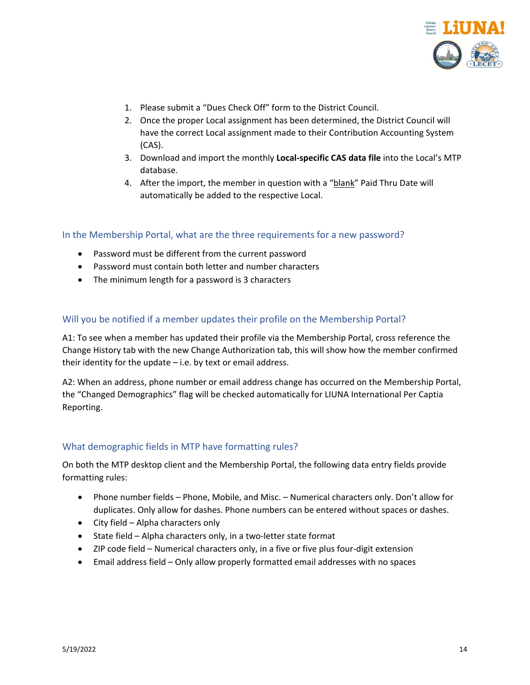

- 1. Please submit a "Dues Check Off" form to the District Council.
- 2. Once the proper Local assignment has been determined, the District Council will have the correct Local assignment made to their Contribution Accounting System (CAS).
- 3. Download and import the monthly **Local-specific CAS data file** into the Local's MTP database.
- 4. After the import, the member in question with a "blank" Paid Thru Date will automatically be added to the respective Local.

<span id="page-13-0"></span>In the Membership Portal, what are the three requirements for a new password?

- Password must be different from the current password
- Password must contain both letter and number characters
- The minimum length for a password is 3 characters

## <span id="page-13-1"></span>Will you be notified if a member updates their profile on the Membership Portal?

A1: To see when a member has updated their profile via the Membership Portal, cross reference the Change History tab with the new Change Authorization tab, this will show how the member confirmed their identity for the update – i.e. by text or email address.

A2: When an address, phone number or email address change has occurred on the Membership Portal, the "Changed Demographics" flag will be checked automatically for LIUNA International Per Captia Reporting.

#### <span id="page-13-2"></span>What demographic fields in MTP have formatting rules?

On both the MTP desktop client and the Membership Portal, the following data entry fields provide formatting rules:

- Phone number fields Phone, Mobile, and Misc. Numerical characters only. Don't allow for duplicates. Only allow for dashes. Phone numbers can be entered without spaces or dashes.
- City field Alpha characters only
- State field Alpha characters only, in a two-letter state format
- ZIP code field Numerical characters only, in a five or five plus four-digit extension
- Email address field Only allow properly formatted email addresses with no spaces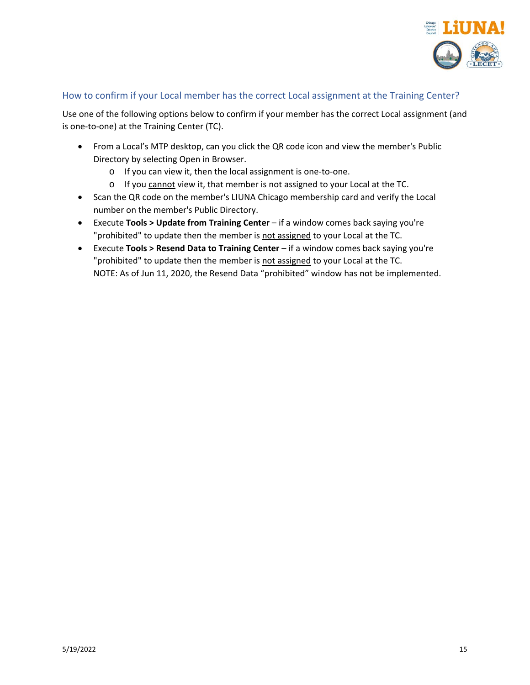

## <span id="page-14-0"></span>How to confirm if your Local member has the correct Local assignment at the Training Center?

Use one of the following options below to confirm if your member has the correct Local assignment (and is one-to-one) at the Training Center (TC).

- From a Local's MTP desktop, can you click the QR code icon and view the member's Public Directory by selecting Open in Browser.
	- o If you can view it, then the local assignment is one-to-one.
	- o If you cannot view it, that member is not assigned to your Local at the TC.
- Scan the QR code on the member's LIUNA Chicago membership card and verify the Local number on the member's Public Directory.
- Execute **Tools > Update from Training Center** if a window comes back saying you're "prohibited" to update then the member is not assigned to your Local at the TC.
- Execute **Tools > Resend Data to Training Center** if a window comes back saying you're "prohibited" to update then the member is not assigned to your Local at the TC. NOTE: As of Jun 11, 2020, the Resend Data "prohibited" window has not be implemented.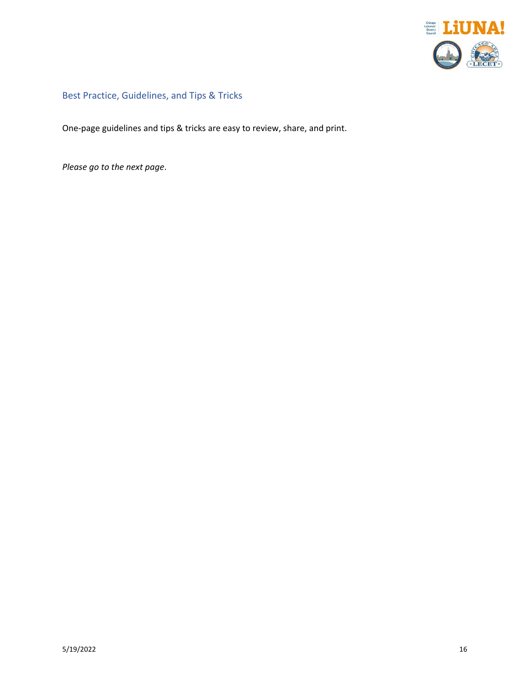

<span id="page-15-0"></span>Best Practice, Guidelines, and Tips & Tricks

One-page guidelines and tips & tricks are easy to review, share, and print.

*Please go to the next page*.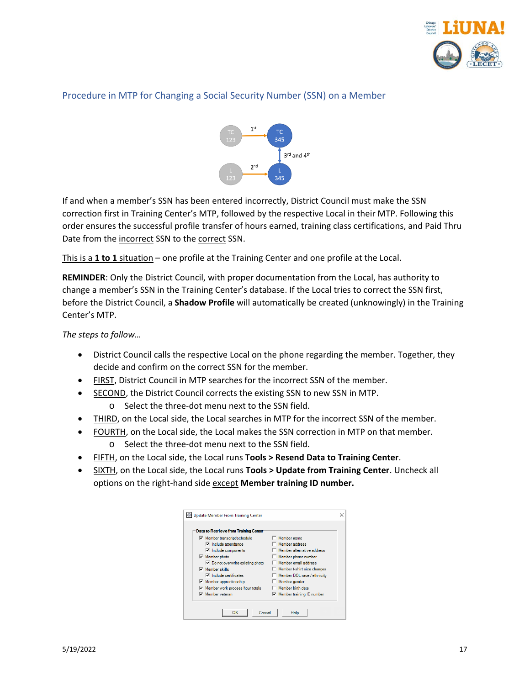

## <span id="page-16-0"></span>Procedure in MTP for Changing a Social Security Number (SSN) on a Member



If and when a member's SSN has been entered incorrectly, District Council must make the SSN correction first in Training Center's MTP, followed by the respective Local in their MTP. Following this order ensures the successful profile transfer of hours earned, training class certifications, and Paid Thru Date from the incorrect SSN to the correct SSN.

This is a **1 to 1** situation – one profile at the Training Center and one profile at the Local.

**REMINDER**: Only the District Council, with proper documentation from the Local, has authority to change a member's SSN in the Training Center's database. If the Local tries to correct the SSN first, before the District Council, a **Shadow Profile** will automatically be created (unknowingly) in the Training Center's MTP.

*The steps to follow…*

- District Council calls the respective Local on the phone regarding the member. Together, they decide and confirm on the correct SSN for the member.
- FIRST, District Council in MTP searches for the incorrect SSN of the member.
- SECOND, the District Council corrects the existing SSN to new SSN in MTP.
	- o Select the three-dot menu next to the SSN field.
- THIRD, on the Local side, the Local searches in MTP for the incorrect SSN of the member.
- FOURTH, on the Local side, the Local makes the SSN correction in MTP on that member.
	- o Select the three-dot menu next to the SSN field.
- FIFTH, on the Local side, the Local runs **Tools > Resend Data to Training Center**.
- SIXTH, on the Local side, the Local runs **Tools > Update from Training Center**. Uncheck all options on the right-hand side except **Member training ID number.**

| Data to Retrieve from Training Center            |                             |
|--------------------------------------------------|-----------------------------|
| $\nabla$ Member transcript/schedule              | Member name                 |
| $\nabla$ Include attendance                      | Member address              |
| $\triangleright$ Include components              | Member alternative address  |
| $\triangledown$ Member photo                     | Member phone number         |
| $\triangleright$ Do not overwrite existing photo | Member email address        |
| $\nabla$ Member skills                           | Member t-shirt size changes |
| $\nabla$ Include certificates                    | Member DOL race / ethnicity |
| $\triangledown$ Member apprenticeship            | Member gender               |
| $\triangledown$ Member work process hour totals  | Member birth date           |
| $\nabla$ Member veteran                          | Member training ID number   |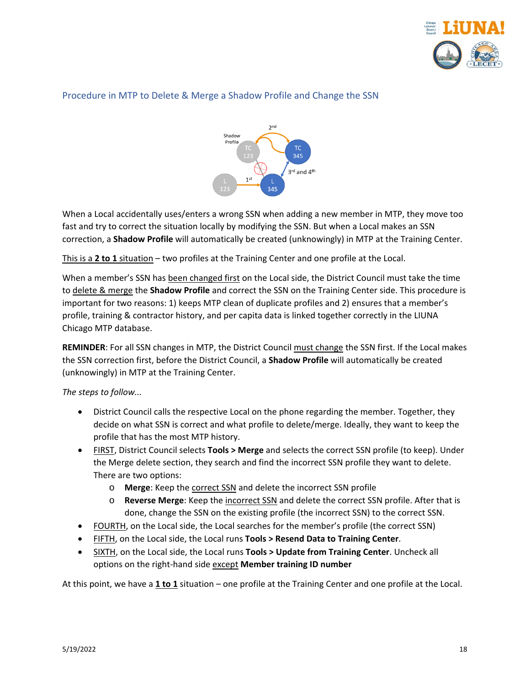

## <span id="page-17-0"></span>Procedure in MTP to Delete & Merge a Shadow Profile and Change the SSN



When a Local accidentally uses/enters a wrong SSN when adding a new member in MTP, they move too fast and try to correct the situation locally by modifying the SSN. But when a Local makes an SSN correction, a **Shadow Profile** will automatically be created (unknowingly) in MTP at the Training Center.

This is a **2 to 1** situation – two profiles at the Training Center and one profile at the Local.

When a member's SSN has been changed first on the Local side, the District Council must take the time to delete & merge the **Shadow Profile** and correct the SSN on the Training Center side. This procedure is important for two reasons: 1) keeps MTP clean of duplicate profiles and 2) ensures that a member's profile, training & contractor history, and per capita data is linked together correctly in the LIUNA Chicago MTP database.

**REMINDER**: For all SSN changes in MTP, the District Council must change the SSN first. If the Local makes the SSN correction first, before the District Council, a **Shadow Profile** will automatically be created (unknowingly) in MTP at the Training Center.

*The steps to follow...*

- District Council calls the respective Local on the phone regarding the member. Together, they decide on what SSN is correct and what profile to delete/merge. Ideally, they want to keep the profile that has the most MTP history.
- FIRST, District Council selects **Tools > Merge** and selects the correct SSN profile (to keep). Under the Merge delete section, they search and find the incorrect SSN profile they want to delete. There are two options:
	- o **Merge**: Keep the correct SSN and delete the incorrect SSN profile
	- o **Reverse Merge**: Keep the incorrect SSN and delete the correct SSN profile. After that is done, change the SSN on the existing profile (the incorrect SSN) to the correct SSN.
- FOURTH, on the Local side, the Local searches for the member's profile (the correct SSN)
- FIFTH, on the Local side, the Local runs **Tools > Resend Data to Training Center**.
- SIXTH, on the Local side, the Local runs **Tools > Update from Training Center**. Uncheck all options on the right-hand side except **Member training ID number**

At this point, we have a **1 to 1** situation – one profile at the Training Center and one profile at the Local.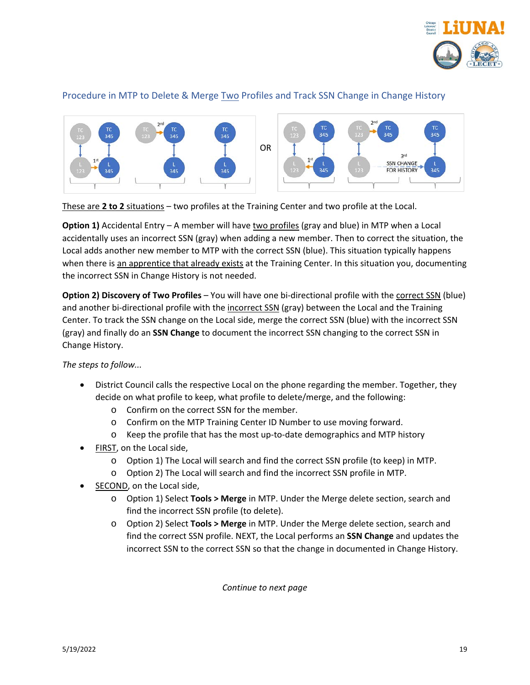

## <span id="page-18-0"></span>Procedure in MTP to Delete & Merge Two Profiles and Track SSN Change in Change History



These are **2 to 2** situations – two profiles at the Training Center and two profile at the Local.

**Option 1)** Accidental Entry – A member will have two profiles (gray and blue) in MTP when a Local accidentally uses an incorrect SSN (gray) when adding a new member. Then to correct the situation, the Local adds another new member to MTP with the correct SSN (blue). This situation typically happens when there is an apprentice that already exists at the Training Center. In this situation you, documenting the incorrect SSN in Change History is not needed.

**Option 2) Discovery of Two Profiles** – You will have one bi-directional profile with the correct SSN (blue) and another bi-directional profile with the incorrect SSN (gray) between the Local and the Training Center. To track the SSN change on the Local side, merge the correct SSN (blue) with the incorrect SSN (gray) and finally do an **SSN Change** to document the incorrect SSN changing to the correct SSN in Change History.

*The steps to follow...*

- District Council calls the respective Local on the phone regarding the member. Together, they decide on what profile to keep, what profile to delete/merge, and the following:
	- o Confirm on the correct SSN for the member.
	- o Confirm on the MTP Training Center ID Number to use moving forward.
	- o Keep the profile that has the most up-to-date demographics and MTP history
- FIRST, on the Local side,
	- o Option 1) The Local will search and find the correct SSN profile (to keep) in MTP.
	- o Option 2) The Local will search and find the incorrect SSN profile in MTP.
- SECOND, on the Local side,
	- o Option 1) Select **Tools > Merge** in MTP. Under the Merge delete section, search and find the incorrect SSN profile (to delete).
	- o Option 2) Select **Tools > Merge** in MTP. Under the Merge delete section, search and find the correct SSN profile. NEXT, the Local performs an **SSN Change** and updates the incorrect SSN to the correct SSN so that the change in documented in Change History.

*Continue to next page*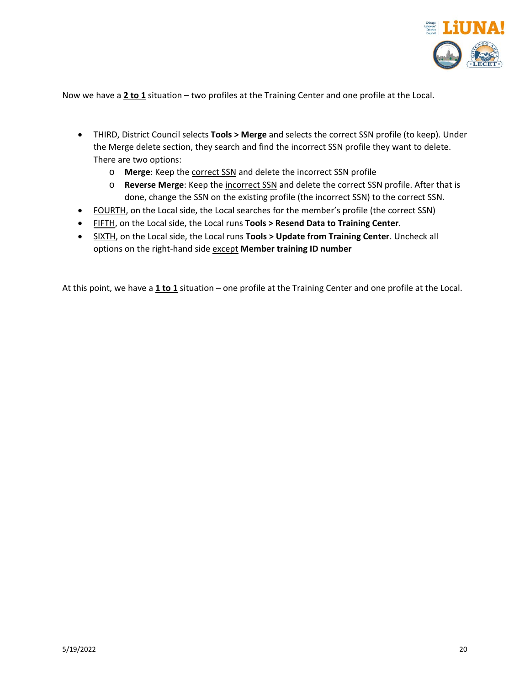

Now we have a **2 to 1** situation – two profiles at the Training Center and one profile at the Local.

- THIRD, District Council selects **Tools > Merge** and selects the correct SSN profile (to keep). Under the Merge delete section, they search and find the incorrect SSN profile they want to delete. There are two options:
	- o **Merge**: Keep the correct SSN and delete the incorrect SSN profile
	- o **Reverse Merge**: Keep the incorrect SSN and delete the correct SSN profile. After that is done, change the SSN on the existing profile (the incorrect SSN) to the correct SSN.
- FOURTH, on the Local side, the Local searches for the member's profile (the correct SSN)
- FIFTH, on the Local side, the Local runs **Tools > Resend Data to Training Center**.
- SIXTH, on the Local side, the Local runs **Tools > Update from Training Center**. Uncheck all options on the right-hand side except **Member training ID number**

At this point, we have a **1 to 1** situation – one profile at the Training Center and one profile at the Local.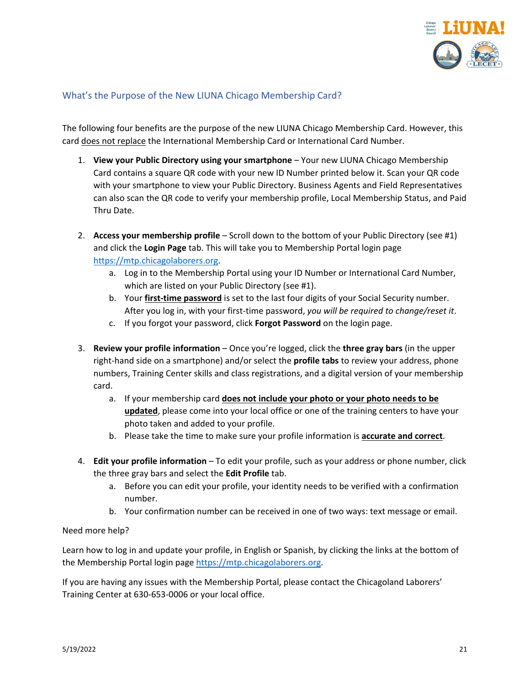

## <span id="page-20-0"></span>What's the Purpose of the New LIUNA Chicago Membership Card?

The following four benefits are the purpose of the new LIUNA Chicago Membership Card. However, this card does not replace the International Membership Card or International Card Number.

- 1. **View your Public Directory using your smartphone** Your new LIUNA Chicago Membership Card contains a square QR code with your new ID Number printed below it. Scan your QR code with your smartphone to view your Public Directory. Business Agents and Field Representatives can also scan the QR code to verify your membership profile, Local Membership Status, and Paid Thru Date.
- 2. **Access your membership profile**  Scroll down to the bottom of your Public Directory (see #1) and click the **Login Page** tab. This will take you to Membership Portal login page [https://mtp.chicagolaborers.org.](https://mtp.chicagolaborers.org/)
	- a. Log in to the Membership Portal using your ID Number or International Card Number, which are listed on your Public Directory (see #1).
	- b. Your **first-time password** is set to the last four digits of your Social Security number. After you log in, with your first-time password, *you will be required to change/reset it*.
	- c. If you forgot your password, click **Forgot Password** on the login page.
- 3. **Review your profile information**  Once you're logged, click the **three gray bars** (in the upper right-hand side on a smartphone) and/or select the **profile tabs** to review your address, phone numbers, Training Center skills and class registrations, and a digital version of your membership card.
	- a. If your membership card **does not include your photo or your photo needs to be updated**, please come into your local office or one of the training centers to have your photo taken and added to your profile.
	- b. Please take the time to make sure your profile information is **accurate and correct**.
- 4. **Edit your profile information** To edit your profile, such as your address or phone number, click the three gray bars and select the **Edit Profile** tab.
	- a. Before you can edit your profile, your identity needs to be verified with a confirmation number.
	- b. Your confirmation number can be received in one of two ways: text message or email.

#### Need more help?

Learn how to log in and update your profile, in English or Spanish, by clicking the links at the bottom of the Membership Portal login page [https://mtp.chicagolaborers.org.](https://mtp.chicagolaborers.org/)

If you are having any issues with the Membership Portal, please contact the Chicagoland Laborers' Training Center at 630-653-0006 or your local office.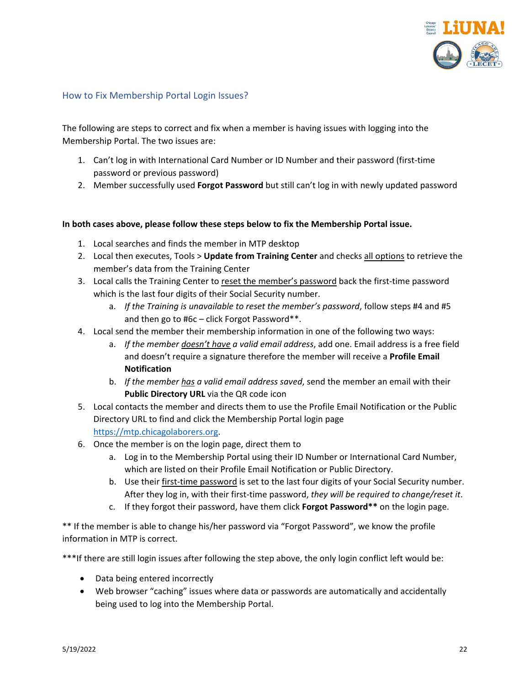

#### <span id="page-21-0"></span>How to Fix Membership Portal Login Issues?

The following are steps to correct and fix when a member is having issues with logging into the Membership Portal. The two issues are:

- 1. Can't log in with International Card Number or ID Number and their password (first-time password or previous password)
- 2. Member successfully used **Forgot Password** but still can't log in with newly updated password

#### **In both cases above, please follow these steps below to fix the Membership Portal issue.**

- 1. Local searches and finds the member in MTP desktop
- 2. Local then executes, Tools > **Update from Training Center** and checks all options to retrieve the member's data from the Training Center
- 3. Local calls the Training Center to reset the member's password back the first-time password which is the last four digits of their Social Security number.
	- a. *If the Training is unavailable to reset the member's password*, follow steps #4 and #5 and then go to #6c – click Forgot Password\*\*.
- 4. Local send the member their membership information in one of the following two ways:
	- a. *If the member doesn't have a valid email address*, add one. Email address is a free field and doesn't require a signature therefore the member will receive a **Profile Email Notification**
	- b. *If the member has a valid email address saved*, send the member an email with their **Public Directory URL** via the QR code icon
- 5. Local contacts the member and directs them to use the Profile Email Notification or the Public Directory URL to find and click the Membership Portal login page [https://mtp.chicagolaborers.org.](https://mtp.chicagolaborers.org/)
- 6. Once the member is on the login page, direct them to
	- a. Log in to the Membership Portal using their ID Number or International Card Number, which are listed on their Profile Email Notification or Public Directory.
	- b. Use their first-time password is set to the last four digits of your Social Security number. After they log in, with their first-time password, *they will be required to change/reset it*.
	- c. If they forgot their password, have them click **Forgot Password\*\*** on the login page.

\*\* If the member is able to change his/her password via "Forgot Password", we know the profile information in MTP is correct.

\*\*\*If there are still login issues after following the step above, the only login conflict left would be:

- Data being entered incorrectly
- Web browser "caching" issues where data or passwords are automatically and accidentally being used to log into the Membership Portal.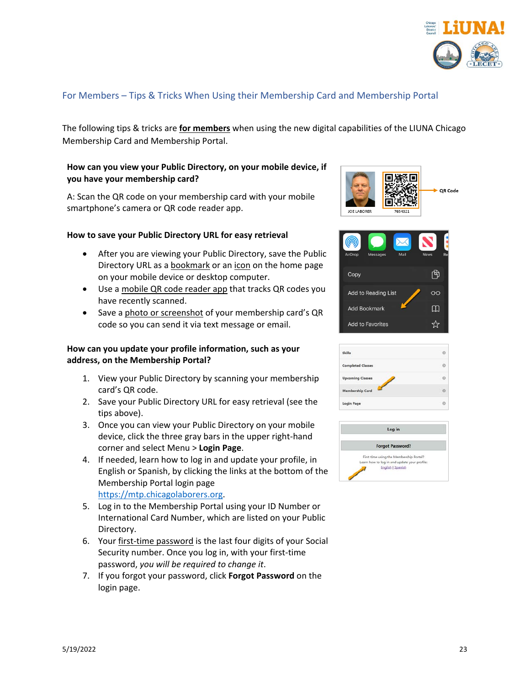

## <span id="page-22-0"></span>For Members – Tips & Tricks When Using their Membership Card and Membership Portal

The following tips & tricks are **for members** when using the new digital capabilities of the LIUNA Chicago Membership Card and Membership Portal.

#### **How can you view your Public Directory, on your mobile device, if you have your membership card?**

A: Scan the QR code on your membership card with your mobile smartphone's camera or QR code reader app.

#### **How to save your Public Directory URL for easy retrieval**

- After you are viewing your Public Directory, save the Public Directory URL as a bookmark or an icon on the home page on your mobile device or desktop computer.
- Use a mobile QR code reader app that tracks QR codes you have recently scanned.
- Save a photo or screenshot of your membership card's QR code so you can send it via text message or email.

#### **How can you update your profile information, such as your address, on the Membership Portal?**

- 1. View your Public Directory by scanning your membership card's QR code.
- 2. Save your Public Directory URL for easy retrieval (see the tips above).
- 3. Once you can view your Public Directory on your mobile device, click the three gray bars in the upper right-hand corner and select Menu > **Login Page**.
- 4. If needed, learn how to log in and update your profile, in English or Spanish, by clicking the links at the bottom of the Membership Portal login page [https://mtp.chicagolaborers.org.](https://mtp.chicagolaborers.org/)
- 5. Log in to the Membership Portal using your ID Number or International Card Number, which are listed on your Public Directory.
- 6. Your first-time password is the last four digits of your Social Security number. Once you log in, with your first-time password, *you will be required to change it*.
- 7. If you forgot your password, click **Forgot Password** on the login page.





| <b>Skills</b>            |  |
|--------------------------|--|
| <b>Completed Classes</b> |  |
| <b>Upcoming Classes</b>  |  |
| <b>Membership Card</b>   |  |
| Login Page               |  |
|                          |  |

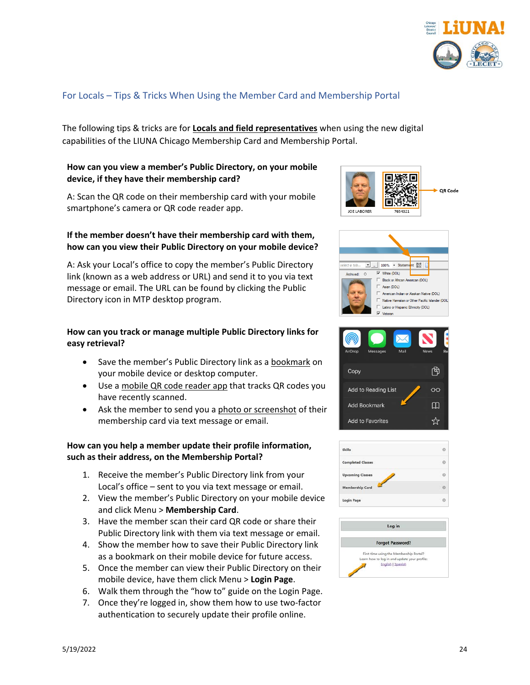

## <span id="page-23-0"></span>For Locals – Tips & Tricks When Using the Member Card and Membership Portal

The following tips & tricks are for **Locals and field representatives** when using the new digital capabilities of the LIUNA Chicago Membership Card and Membership Portal.

#### **How can you view a member's Public Directory, on your mobile device, if they have their membership card?**

A: Scan the QR code on their membership card with your mobile smartphone's camera or QR code reader app.

#### **If the member doesn't have their membership card with them, how can you view their Public Directory on your mobile device?**

A: Ask your Local's office to copy the member's Public Directory link (known as a web address or URL) and send it to you via text message or email. The URL can be found by clicking the Public Directory icon in MTP desktop program.

#### **How can you track or manage multiple Public Directory links for easy retrieval?**

- Save the member's Public Directory link as a bookmark on your mobile device or desktop computer.
- Use a mobile QR code reader app that tracks QR codes you have recently scanned.
- Ask the member to send you a photo or screenshot of their membership card via text message or email.

#### **How can you help a member update their profile information, such as their address, on the Membership Portal?**

- 1. Receive the member's Public Directory link from your Local's office – sent to you via text message or email.
- 2. View the member's Public Directory on your mobile device and click Menu > **Membership Card**.
- 3. Have the member scan their card QR code or share their Public Directory link with them via text message or email.
- 4. Show the member how to save their Public Directory link as a bookmark on their mobile device for future access.
- 5. Once the member can view their Public Directory on their mobile device, have them click Menu > **Login Page**.
- 6. Walk them through the "how to" guide on the Login Page.
- 7. Once they're logged in, show them how to use two-factor authentication to securely update their profile online.







| <b>Skills</b>            |  |
|--------------------------|--|
| <b>Completed Classes</b> |  |
| <b>Upcoming Classes</b>  |  |
| Membership Card          |  |
| Login Page               |  |
|                          |  |

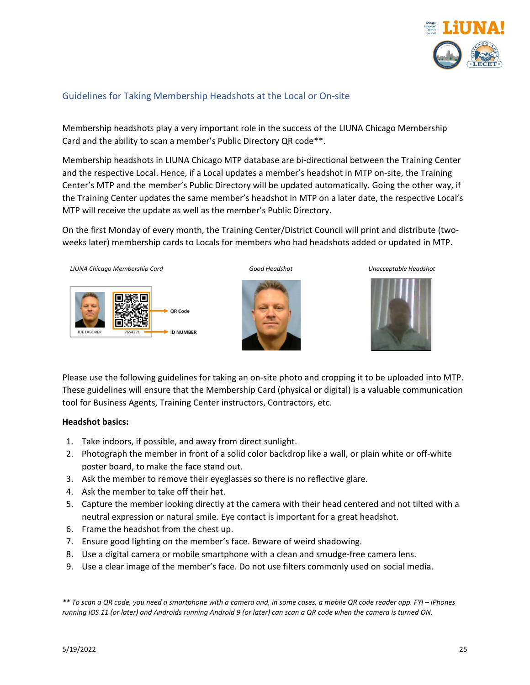

## <span id="page-24-0"></span>Guidelines for Taking Membership Headshots at the Local or On-site

Membership headshots play a very important role in the success of the LIUNA Chicago Membership Card and the ability to scan a member's Public Directory QR code\*\*.

Membership headshots in LIUNA Chicago MTP database are bi-directional between the Training Center and the respective Local. Hence, if a Local updates a member's headshot in MTP on-site, the Training Center's MTP and the member's Public Directory will be updated automatically. Going the other way, if the Training Center updates the same member's headshot in MTP on a later date, the respective Local's MTP will receive the update as well as the member's Public Directory.

On the first Monday of every month, the Training Center/District Council will print and distribute (twoweeks later) membership cards to Locals for members who had headshots added or updated in MTP.



Please use the following guidelines for taking an on-site photo and cropping it to be uploaded into MTP. These guidelines will ensure that the Membership Card (physical or digital) is a valuable communication tool for Business Agents, Training Center instructors, Contractors, etc.

#### **Headshot basics:**

- 1. Take indoors, if possible, and away from direct sunlight.
- 2. Photograph the member in front of a solid color backdrop like a wall, or plain white or off-white poster board, to make the face stand out.
- 3. Ask the member to remove their eyeglasses so there is no reflective glare.
- 4. Ask the member to take off their hat.
- 5. Capture the member looking directly at the camera with their head centered and not tilted with a neutral expression or natural smile. Eye contact is important for a great headshot.
- 6. Frame the headshot from the chest up.
- 7. Ensure good lighting on the member's face. Beware of weird shadowing.
- 8. Use a digital camera or mobile smartphone with a clean and smudge-free camera lens.
- 9. Use a clear image of the member's face. Do not use filters commonly used on social media.

*\*\* To scan a QR code, you need a smartphone with a camera and, in some cases, a mobile QR code reader app. FYI – iPhones running iOS 11 (or later) and Androids running Android 9 (or later) can scan a QR code when the camera is turned ON.*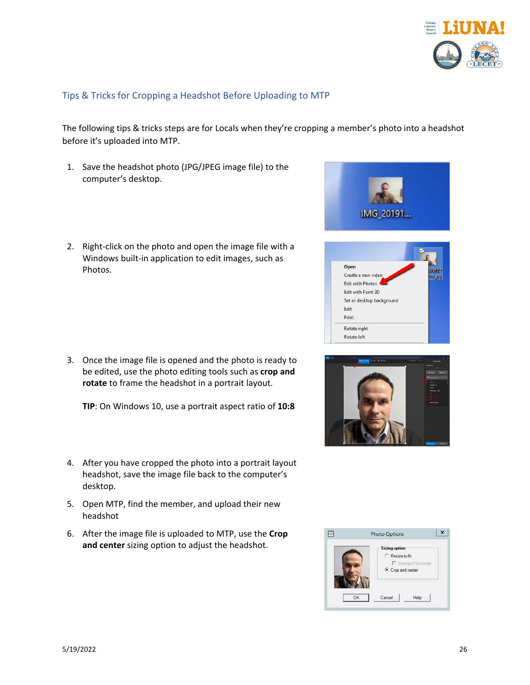

## <span id="page-25-0"></span>Tips & Tricks for Cropping a Headshot Before Uploading to MTP

The following tips & tricks steps are for Locals when they're cropping a member's photo into a headshot before it's uploaded into MTP.

- 1. Save the headshot photo (JPG/JPEG image file) to the computer's desktop.
- 2. Right-click on the photo and open the image file with a Windows built-in application to edit images, such as Photos.

3. Once the image file is opened and the photo is ready to be edited, use the photo editing tools such as **crop and rotate** to frame the headshot in a portrait layout.

**TIP**: On Windows 10, use a portrait aspect ratio of **10:8**

- 4. After you have cropped the photo into a portrait layout headshot, save the image file back to the computer's desktop.
- 5. Open MTP, find the member, and upload their new headshot
- 6. After the image file is uploaded to MTP, use the **Crop and center** sizing option to adjust the headshot.







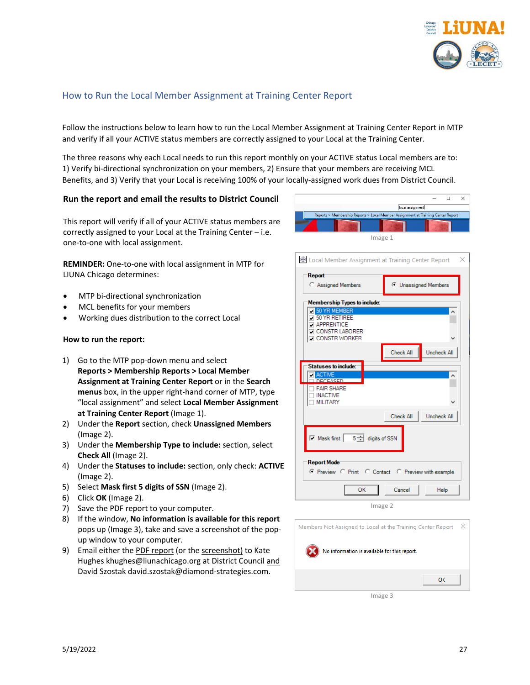

#### <span id="page-26-0"></span>How to Run the Local Member Assignment at Training Center Report

Follow the instructions below to learn how to run the Local Member Assignment at Training Center Report in MTP and verify if all your ACTIVE status members are correctly assigned to your Local at the Training Center.

The three reasons why each Local needs to run this report monthly on your ACTIVE status Local members are to: 1) Verify bi-directional synchronization on your members, 2) Ensure that your members are receiving MCL Benefits, and 3) Verify that your Local is receiving 100% of your locally-assigned work dues from District Council.

#### **Run the report and email the results to District Council**

This report will verify if all of your ACTIVE status members are correctly assigned to your Local at the Training Center – i.e. one-to-one with local assignment.

**REMINDER:** One-to-one with local assignment in MTP for LIUNA Chicago determines:

- MTP bi-directional synchronization
- MCL benefits for your members
- Working dues distribution to the correct Local

#### **How to run the report:**

- 1) Go to the MTP pop-down menu and select **Reports > Membership Reports > Local Member Assignment at Training Center Report** or in the **Search menus** box, in the upper right-hand corner of MTP, type "local assignment" and select **Local Member Assignment at Training Center Report** (Image 1).
- 2) Under the **Report** section, check **Unassigned Members** (Image 2).
- 3) Under the **Membership Type to include:** section, select **Check All** (Image 2).
- 4) Under the **Statuses to include:** section, only check: **ACTIVE** (Image 2).
- 5) Select **Mask first 5 digits of SSN** (Image 2).
- 6) Click **OK** (Image 2).
- 7) Save the PDF report to your computer.
- 8) If the window, **No information is available for this report** pops up (Image 3), take and save a screenshot of the popup window to your computer.
- 9) Email either the PDF report (or the screenshot) to Kate Hughes khughes@liunachicago.org at District Council and David Szostak david.szostak@diamond-strategies.com.



| & Local Member Assignment at Training Center Report<br>×                                                                   |                                 |  |
|----------------------------------------------------------------------------------------------------------------------------|---------------------------------|--|
| <b>Report</b><br>C Assigned Members                                                                                        | C Unassigned Members            |  |
| <b>Membership Types to include:</b>                                                                                        |                                 |  |
| <b>7</b> 50 YR MEMBER<br><b>J 50 YR RETIREE</b><br><b>APPRENTICE</b><br><b>DI CONSTRILABORER</b><br><b>O CONSTR WORKER</b> |                                 |  |
|                                                                                                                            | Check All<br>Uncheck All        |  |
| Statuses to include:<br><b>ACTIVE</b><br>DECEASED<br><b>FAIR SHARE</b><br><b>INACTIVE</b><br>MILITARY                      |                                 |  |
|                                                                                                                            | Check All<br><b>Uncheck All</b> |  |
| $\boxed{\triangledown}$ Mask first $\boxed{5}$ digits of SSN                                                               |                                 |  |
| <b>Report Mode</b><br>C Preview C Print C Contact C Preview with example                                                   |                                 |  |
| OK<br>Cancel<br>Help                                                                                                       |                                 |  |
| Image 2                                                                                                                    |                                 |  |

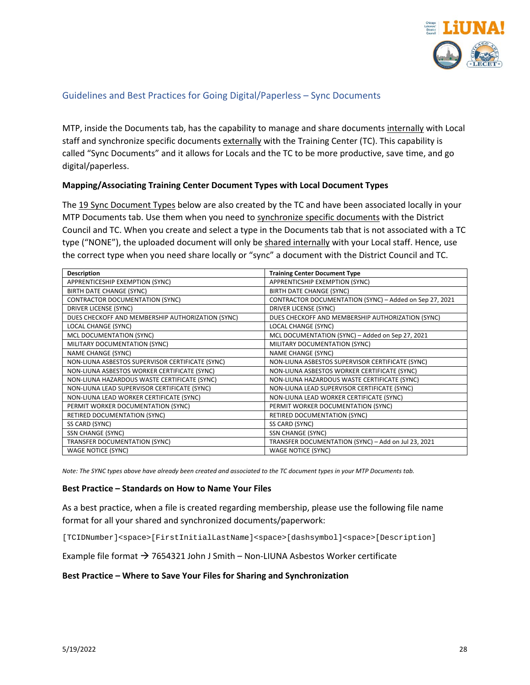

## <span id="page-27-0"></span>Guidelines and Best Practices for Going Digital/Paperless – Sync Documents

MTP, inside the Documents tab, has the capability to manage and share documents internally with Local staff and synchronize specific documents externally with the Training Center (TC). This capability is called "Sync Documents" and it allows for Locals and the TC to be more productive, save time, and go digital/paperless.

#### **Mapping/Associating Training Center Document Types with Local Document Types**

The 19 Sync Document Types below are also created by the TC and have been associated locally in your MTP Documents tab. Use them when you need to synchronize specific documents with the District Council and TC. When you create and select a type in the Documents tab that is not associated with a TC type ("NONE"), the uploaded document will only be shared internally with your Local staff. Hence, use the correct type when you need share locally or "sync" a document with the District Council and TC.

| <b>Description</b>                                | <b>Training Center Document Type</b>                    |
|---------------------------------------------------|---------------------------------------------------------|
| APPRENTICESHIP EXEMPTION (SYNC)                   | APPRENTICSHIP EXEMPTION (SYNC)                          |
| BIRTH DATE CHANGE (SYNC)                          | BIRTH DATE CHANGE (SYNC)                                |
| <b>CONTRACTOR DOCUMENTATION (SYNC)</b>            | CONTRACTOR DOCUMENTATION (SYNC) - Added on Sep 27, 2021 |
| DRIVER LICENSE (SYNC)                             | <b>DRIVER LICENSE (SYNC)</b>                            |
| DUES CHECKOFF AND MEMBERSHIP AUTHORIZATION (SYNC) | DUES CHECKOFF AND MEMBERSHIP AUTHORIZATION (SYNC)       |
| LOCAL CHANGE (SYNC)                               | LOCAL CHANGE (SYNC)                                     |
| MCL DOCUMENTATION (SYNC)                          | MCL DOCUMENTATION (SYNC) - Added on Sep 27, 2021        |
| MILITARY DOCUMENTATION (SYNC)                     | MILITARY DOCUMENTATION (SYNC)                           |
| <b>NAME CHANGE (SYNC)</b>                         | <b>NAME CHANGE (SYNC)</b>                               |
| NON-LIUNA ASBESTOS SUPERVISOR CERTIFICATE (SYNC)  | NON-LIUNA ASBESTOS SUPERVISOR CERTIFICATE (SYNC)        |
| NON-LIUNA ASBESTOS WORKER CERTIFICATE (SYNC)      | NON-LIUNA ASBESTOS WORKER CERTIFICATE (SYNC)            |
| NON-LIUNA HAZARDOUS WASTE CERTIFICATE (SYNC)      | NON-LIUNA HAZARDOUS WASTE CERTIFICATE (SYNC)            |
| NON-LIUNA LEAD SUPERVISOR CERTIFICATE (SYNC)      | NON-LIUNA LEAD SUPERVISOR CERTIFICATE (SYNC)            |
| NON-LIUNA LEAD WORKER CERTIFICATE (SYNC)          | NON-LIUNA LEAD WORKER CERTIFICATE (SYNC)                |
| PERMIT WORKER DOCUMENTATION (SYNC)                | PERMIT WORKER DOCUMENTATION (SYNC)                      |
| RETIRED DOCUMENTATION (SYNC)                      | RETIRED DOCUMENTATION (SYNC)                            |
| SS CARD (SYNC)                                    | SS CARD (SYNC)                                          |
| SSN CHANGE (SYNC)                                 | <b>SSN CHANGE (SYNC)</b>                                |
| TRANSFER DOCUMENTATION (SYNC)                     | TRANSFER DOCUMENTATION (SYNC) - Add on Jul 23, 2021     |
| <b>WAGE NOTICE (SYNC)</b>                         | <b>WAGE NOTICE (SYNC)</b>                               |

*Note: The SYNC types above have already been created and associated to the TC document types in your MTP Documents tab.*

#### **Best Practice – Standards on How to Name Your Files**

As a best practice, when a file is created regarding membership, please use the following file name format for all your shared and synchronized documents/paperwork:

[TCIDNumber]<space>[FirstInitialLastName]<space>[dashsymbol]<space>[Description]

Example file format  $\rightarrow$  7654321 John J Smith – Non-LIUNA Asbestos Worker certificate

#### **Best Practice – Where to Save Your Files for Sharing and Synchronization**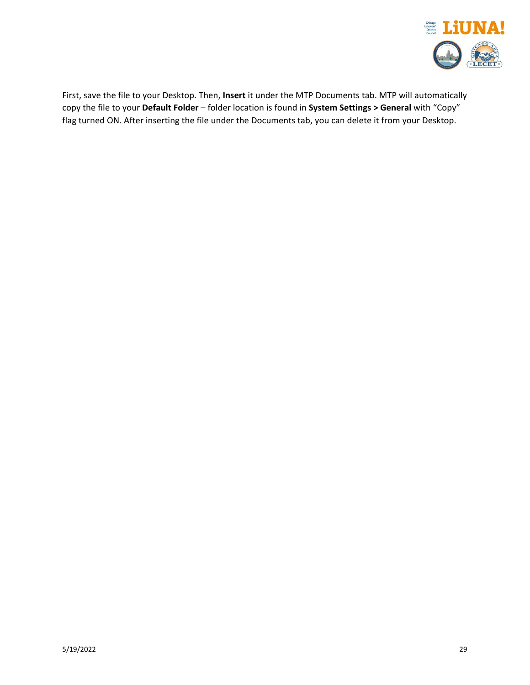

First, save the file to your Desktop. Then, **Insert** it under the MTP Documents tab. MTP will automatically copy the file to your **Default Folder** – folder location is found in **System Settings > General** with "Copy" flag turned ON. After inserting the file under the Documents tab, you can delete it from your Desktop.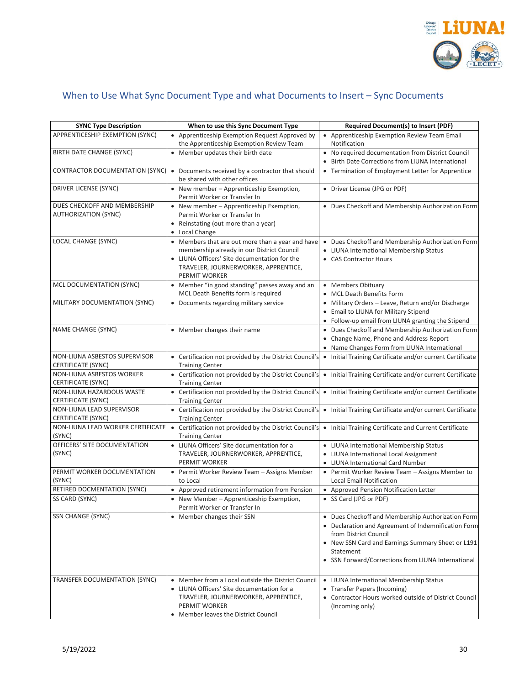

# <span id="page-29-0"></span>When to Use What Sync Document Type and what Documents to Insert – Sync Documents

| <b>SYNC Type Description</b>                                | When to use this Sync Document Type                                                                                                                                                                     | Required Document(s) to Insert (PDF)                                                                                                                                                                                                                      |
|-------------------------------------------------------------|---------------------------------------------------------------------------------------------------------------------------------------------------------------------------------------------------------|-----------------------------------------------------------------------------------------------------------------------------------------------------------------------------------------------------------------------------------------------------------|
| APPRENTICESHIP EXEMPTION (SYNC)                             | • Apprenticeship Exemption Request Approved by<br>the Apprenticeship Exemption Review Team                                                                                                              | • Apprenticeship Exemption Review Team Email<br>Notification                                                                                                                                                                                              |
| BIRTH DATE CHANGE (SYNC)                                    | • Member updates their birth date                                                                                                                                                                       | • No required documentation from District Council<br>• Birth Date Corrections from LIUNA International                                                                                                                                                    |
| CONTRACTOR DOCUMENTATION (SYNC)                             | • Documents received by a contractor that should<br>be shared with other offices                                                                                                                        | • Termination of Employment Letter for Apprentice                                                                                                                                                                                                         |
| DRIVER LICENSE (SYNC)                                       | • New member - Apprenticeship Exemption,<br>Permit Worker or Transfer In                                                                                                                                | • Driver License (JPG or PDF)                                                                                                                                                                                                                             |
| DUES CHECKOFF AND MEMBERSHIP<br><b>AUTHORIZATION (SYNC)</b> | • New member - Apprenticeship Exemption,<br>Permit Worker or Transfer In<br>• Reinstating (out more than a year)<br>• Local Change                                                                      | • Dues Checkoff and Membership Authorization Form                                                                                                                                                                                                         |
| LOCAL CHANGE (SYNC)                                         | • Members that are out more than a year and have<br>membership already in our District Council<br>• LIUNA Officers' Site documentation for the<br>TRAVELER, JOURNERWORKER, APPRENTICE,<br>PERMIT WORKER | • Dues Checkoff and Membership Authorization Form<br>• LIUNA International Membership Status<br>• CAS Contractor Hours                                                                                                                                    |
| MCL DOCUMENTATION (SYNC)                                    | • Member "in good standing" passes away and an<br>MCL Death Benefits form is required                                                                                                                   | • Members Obituary<br>• MCL Death Benefits Form                                                                                                                                                                                                           |
| MILITARY DOCUMENTATION (SYNC)                               | • Documents regarding military service                                                                                                                                                                  | • Military Orders - Leave, Return and/or Discharge<br>• Email to LIUNA for Military Stipend<br>• Follow-up email from LIUNA granting the Stipend                                                                                                          |
| NAME CHANGE (SYNC)                                          | • Member changes their name                                                                                                                                                                             | • Dues Checkoff and Membership Authorization Form<br>• Change Name, Phone and Address Report<br>• Name Changes Form from LIUNA International                                                                                                              |
| NON-LIUNA ASBESTOS SUPERVISOR<br>CERTIFICATE (SYNC)         | • Certification not provided by the District Council's<br><b>Training Center</b>                                                                                                                        | • Initial Training Certificate and/or current Certificate                                                                                                                                                                                                 |
| NON-LIUNA ASBESTOS WORKER<br>CERTIFICATE (SYNC)             | <b>Training Center</b>                                                                                                                                                                                  | • Certification not provided by the District Council's • Initial Training Certificate and/or current Certificate                                                                                                                                          |
| NON-LIUNA HAZARDOUS WASTE<br>CERTIFICATE (SYNC)             | <b>Training Center</b>                                                                                                                                                                                  | • Certification not provided by the District Council's • Initial Training Certificate and/or current Certificate                                                                                                                                          |
| NON-LIUNA LEAD SUPERVISOR<br>CERTIFICATE (SYNC)             | <b>Training Center</b>                                                                                                                                                                                  | • Certification not provided by the District Council's • Initial Training Certificate and/or current Certificate                                                                                                                                          |
| NON-LIUNA LEAD WORKER CERTIFICATE<br>(SYNC)                 | <b>Training Center</b>                                                                                                                                                                                  | • Certification not provided by the District Council's • Initial Training Certificate and Current Certificate                                                                                                                                             |
| OFFICERS' SITE DOCUMENTATION<br>(SYNC)                      | • LIUNA Officers' Site documentation for a<br>TRAVELER, JOURNERWORKER, APPRENTICE,<br>PERMIT WORKER                                                                                                     | • LIUNA International Membership Status<br>• LIUNA International Local Assignment<br>• LIUNA International Card Number                                                                                                                                    |
| PERMIT WORKER DOCUMENTATION<br>(SYNC)                       | • Permit Worker Review Team - Assigns Member<br>to Local                                                                                                                                                | • Permit Worker Review Team - Assigns Member to<br>Local Email Notification                                                                                                                                                                               |
| RETIRED DOCMENTATION (SYNC)<br>SS CARD (SYNC)               | • Approved retirement information from Pension<br>• New Member - Apprenticeship Exemption,                                                                                                              | • Approved Pension Notification Letter<br>• SS Card (JPG or PDF)                                                                                                                                                                                          |
| SSN CHANGE (SYNC)                                           | Permit Worker or Transfer In<br>• Member changes their SSN                                                                                                                                              | • Dues Checkoff and Membership Authorization Form<br>• Declaration and Agreement of Indemnification Form<br>from District Council<br>• New SSN Card and Earnings Summary Sheet or L191<br>Statement<br>• SSN Forward/Corrections from LIUNA International |
| TRANSFER DOCUMENTATION (SYNC)                               | • Member from a Local outside the District Council<br>• LIUNA Officers' Site documentation for a<br>TRAVELER, JOURNERWORKER, APPRENTICE,<br>PERMIT WORKER<br>• Member leaves the District Council       | • LIUNA International Membership Status<br>• Transfer Papers (Incoming)<br>• Contractor Hours worked outside of District Council<br>(Incoming only)                                                                                                       |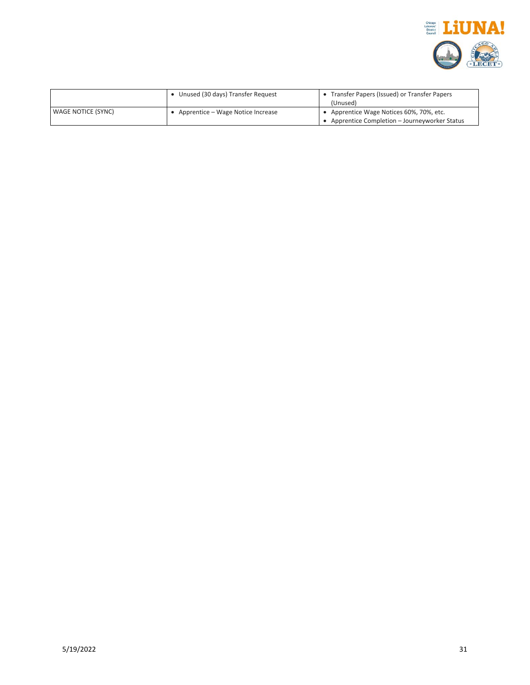

|                    | Unused (30 days) Transfer Request | • Transfer Papers (Issued) or Transfer Papers<br>(Unused) |
|--------------------|-----------------------------------|-----------------------------------------------------------|
| WAGE NOTICE (SYNC) | Apprentice – Wage Notice Increase | • Apprentice Wage Notices 60%, 70%, etc.                  |
|                    |                                   | Apprentice Completion - Journeyworker Status              |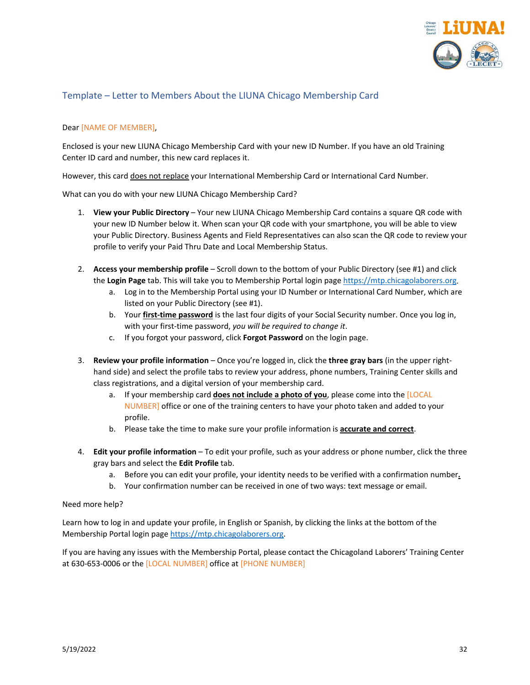

## <span id="page-31-0"></span>Template – Letter to Members About the LIUNA Chicago Membership Card

#### Dear [NAME OF MEMBER],

Enclosed is your new LIUNA Chicago Membership Card with your new ID Number. If you have an old Training Center ID card and number, this new card replaces it.

However, this card does not replace your International Membership Card or International Card Number.

What can you do with your new LIUNA Chicago Membership Card?

- 1. **View your Public Directory** Your new LIUNA Chicago Membership Card contains a square QR code with your new ID Number below it. When scan your QR code with your smartphone, you will be able to view your Public Directory. Business Agents and Field Representatives can also scan the QR code to review your profile to verify your Paid Thru Date and Local Membership Status.
- 2. **Access your membership profile**  Scroll down to the bottom of your Public Directory (see #1) and click the **Login Page** tab. This will take you to Membership Portal login pag[e https://mtp.chicagolaborers.org.](https://mtp.chicagolaborers.org/)
	- a. Log in to the Membership Portal using your ID Number or International Card Number, which are listed on your Public Directory (see #1).
	- b. Your **first-time password** is the last four digits of your Social Security number. Once you log in, with your first-time password, *you will be required to change it*.
	- c. If you forgot your password, click **Forgot Password** on the login page.
- 3. **Review your profile information**  Once you're logged in, click the **three gray bars** (in the upper righthand side) and select the profile tabs to review your address, phone numbers, Training Center skills and class registrations, and a digital version of your membership card.
	- a. If your membership card **does not include a photo of you**, please come into the [LOCAL NUMBER] office or one of the training centers to have your photo taken and added to your profile.
	- b. Please take the time to make sure your profile information is **accurate and correct**.
- 4. **Edit your profile information** To edit your profile, such as your address or phone number, click the three gray bars and select the **Edit Profile** tab.
	- a. Before you can edit your profile, your identity needs to be verified with a confirmation number**.**
	- b. Your confirmation number can be received in one of two ways: text message or email.

#### Need more help?

Learn how to log in and update your profile, in English or Spanish, by clicking the links at the bottom of the Membership Portal login page [https://mtp.chicagolaborers.org.](https://mtp.chicagolaborers.org/)

If you are having any issues with the Membership Portal, please contact the Chicagoland Laborers' Training Center at 630-653-0006 or the [LOCAL NUMBER] office at [PHONE NUMBER]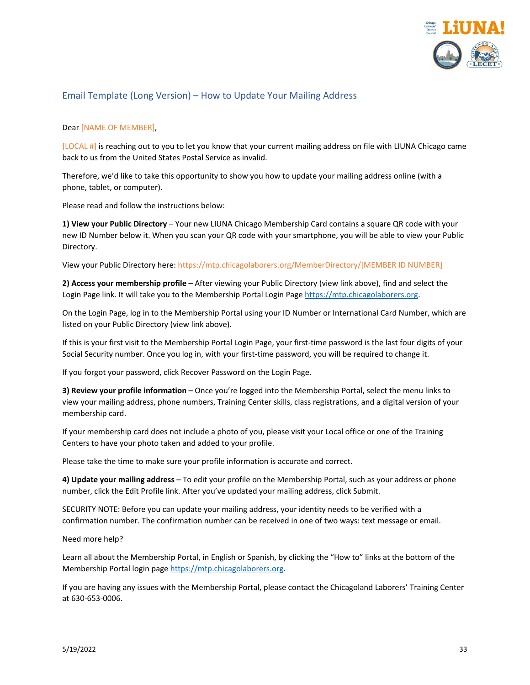

## <span id="page-32-0"></span>Email Template (Long Version) – How to Update Your Mailing Address

#### Dear [NAME OF MEMBER],

[LOCAL #] is reaching out to you to let you know that your current mailing address on file with LIUNA Chicago came back to us from the United States Postal Service as invalid.

Therefore, we'd like to take this opportunity to show you how to update your mailing address online (with a phone, tablet, or computer).

Please read and follow the instructions below:

**1) View your Public Directory** – Your new LIUNA Chicago Membership Card contains a square QR code with your new ID Number below it. When you scan your QR code with your smartphone, you will be able to view your Public Directory.

View your Public Directory here: https://mtp.chicagolaborers.org/MemberDirectory/[MEMBER ID NUMBER]

**2) Access your membership profile** – After viewing your Public Directory (view link above), find and select the Login Page link. It will take you to the Membership Portal Login Pag[e https://mtp.chicagolaborers.org.](https://mtp.chicagolaborers.org/)

On the Login Page, log in to the Membership Portal using your ID Number or International Card Number, which are listed on your Public Directory (view link above).

If this is your first visit to the Membership Portal Login Page, your first-time password is the last four digits of your Social Security number. Once you log in, with your first-time password, you will be required to change it.

If you forgot your password, click Recover Password on the Login Page.

**3) Review your profile information** – Once you're logged into the Membership Portal, select the menu links to view your mailing address, phone numbers, Training Center skills, class registrations, and a digital version of your membership card.

If your membership card does not include a photo of you, please visit your Local office or one of the Training Centers to have your photo taken and added to your profile.

Please take the time to make sure your profile information is accurate and correct.

**4) Update your mailing address** – To edit your profile on the Membership Portal, such as your address or phone number, click the Edit Profile link. After you've updated your mailing address, click Submit.

SECURITY NOTE: Before you can update your mailing address, your identity needs to be verified with a confirmation number. The confirmation number can be received in one of two ways: text message or email.

Need more help?

Learn all about the Membership Portal, in English or Spanish, by clicking the "How to" links at the bottom of the Membership Portal login page [https://mtp.chicagolaborers.org.](https://mtp.chicagolaborers.org/)

If you are having any issues with the Membership Portal, please contact the Chicagoland Laborers' Training Center at 630-653-0006.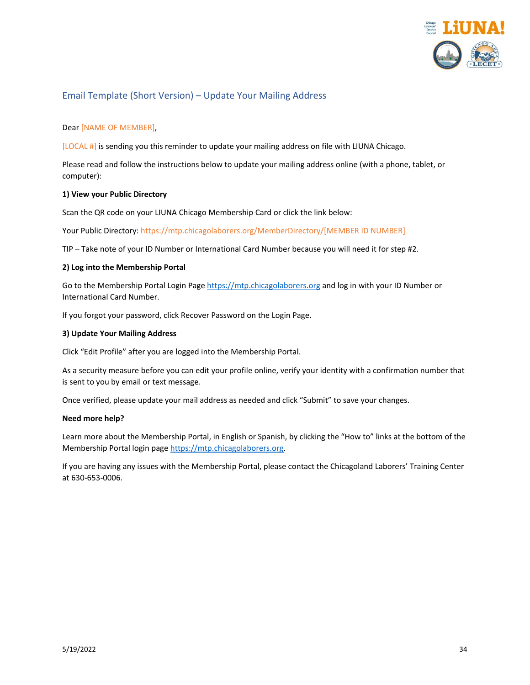

## <span id="page-33-0"></span>Email Template (Short Version) – Update Your Mailing Address

#### Dear [NAME OF MEMBER],

[LOCAL #] is sending you this reminder to update your mailing address on file with LIUNA Chicago.

Please read and follow the instructions below to update your mailing address online (with a phone, tablet, or computer):

#### **1) View your Public Directory**

Scan the QR code on your LIUNA Chicago Membership Card or click the link below:

Your Public Directory: https://mtp.chicagolaborers.org/MemberDirectory/[MEMBER ID NUMBER]

TIP – Take note of your ID Number or International Card Number because you will need it for step #2.

#### **2) Log into the Membership Portal**

Go to the Membership Portal Login Pag[e https://mtp.chicagolaborers.org](https://mtp.chicagolaborers.org/) and log in with your ID Number or International Card Number.

If you forgot your password, click Recover Password on the Login Page.

#### **3) Update Your Mailing Address**

Click "Edit Profile" after you are logged into the Membership Portal.

As a security measure before you can edit your profile online, verify your identity with a confirmation number that is sent to you by email or text message.

Once verified, please update your mail address as needed and click "Submit" to save your changes.

#### **Need more help?**

Learn more about the Membership Portal, in English or Spanish, by clicking the "How to" links at the bottom of the Membership Portal login page [https://mtp.chicagolaborers.org.](https://mtp.chicagolaborers.org/)

If you are having any issues with the Membership Portal, please contact the Chicagoland Laborers' Training Center at 630-653-0006.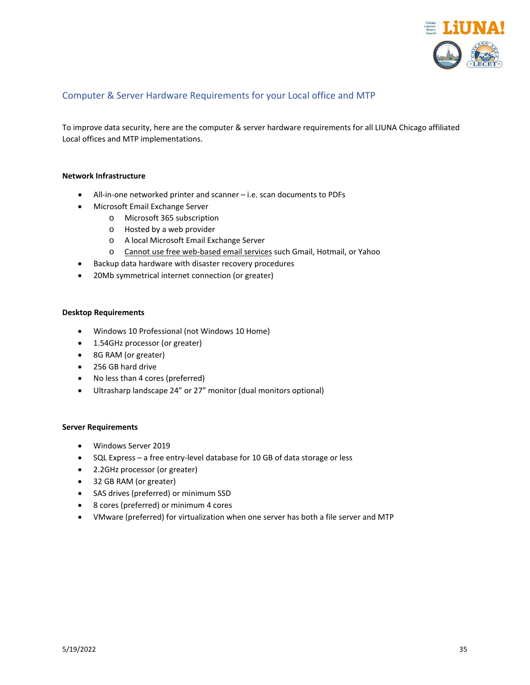

## <span id="page-34-0"></span>Computer & Server Hardware Requirements for your Local office and MTP

To improve data security, here are the computer & server hardware requirements for all LIUNA Chicago affiliated Local offices and MTP implementations.

#### **Network Infrastructure**

- All-in-one networked printer and scanner i.e. scan documents to PDFs
- Microsoft Email Exchange Server
	- o Microsoft 365 subscription
	- o Hosted by a web provider
	- o A local Microsoft Email Exchange Server
	- o Cannot use free web-based email services such Gmail, Hotmail, or Yahoo
- Backup data hardware with disaster recovery procedures
- 20Mb symmetrical internet connection (or greater)

#### **Desktop Requirements**

- Windows 10 Professional (not Windows 10 Home)
- 1.54GHz processor (or greater)
- 8G RAM (or greater)
- 256 GB hard drive
- No less than 4 cores (preferred)
- Ultrasharp landscape 24" or 27" monitor (dual monitors optional)

#### **Server Requirements**

- Windows Server 2019
- SQL Express a free entry-level database for 10 GB of data storage or less
- 2.2GHz processor (or greater)
- 32 GB RAM (or greater)
- SAS drives (preferred) or minimum SSD
- 8 cores (preferred) or minimum 4 cores
- VMware (preferred) for virtualization when one server has both a file server and MTP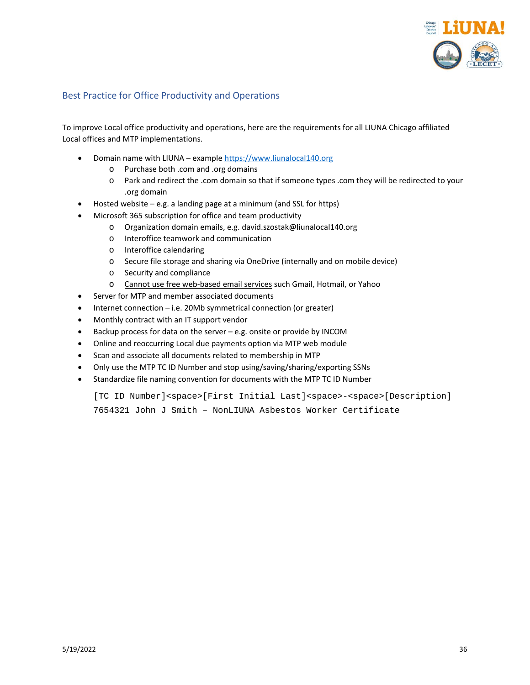

#### <span id="page-35-0"></span>Best Practice for Office Productivity and Operations

To improve Local office productivity and operations, here are the requirements for all LIUNA Chicago affiliated Local offices and MTP implementations.

- Domain name with LIUNA exampl[e https://www.liunalocal140.org](https://www.liunalocal140.org/)
	- o Purchase both .com and .org domains
	- o Park and redirect the .com domain so that if someone types .com they will be redirected to your .org domain
- Hosted website e.g. a landing page at a minimum (and SSL for https)
- Microsoft 365 subscription for office and team productivity
	- o Organization domain emails, e.g. david.szostak@liunalocal140.org
	- o Interoffice teamwork and communication
	- o Interoffice calendaring
	- o Secure file storage and sharing via OneDrive (internally and on mobile device)
	- o Security and compliance
	- o Cannot use free web-based email services such Gmail, Hotmail, or Yahoo
- Server for MTP and member associated documents
- Internet connection  $-$  i.e. 20Mb symmetrical connection (or greater)
- Monthly contract with an IT support vendor
- Backup process for data on the server e.g. onsite or provide by INCOM
- Online and reoccurring Local due payments option via MTP web module
- Scan and associate all documents related to membership in MTP
- Only use the MTP TC ID Number and stop using/saving/sharing/exporting SSNs
- Standardize file naming convention for documents with the MTP TC ID Number

[TC ID Number]<space>[First Initial Last]<space>-<space>[Description] 7654321 John J Smith – NonLIUNA Asbestos Worker Certificate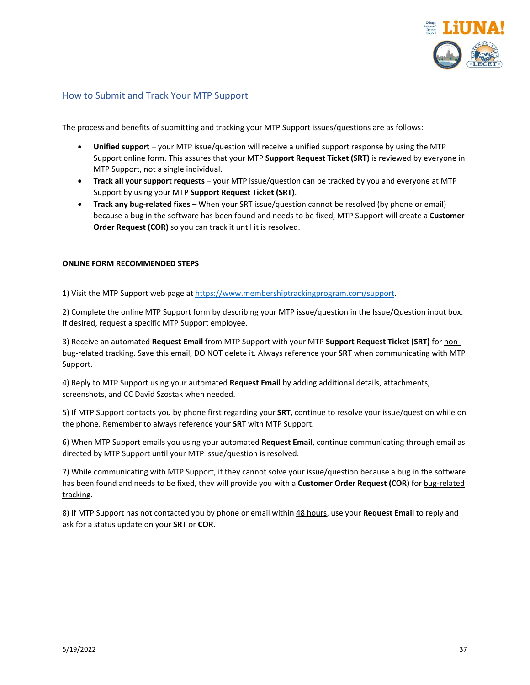

#### <span id="page-36-0"></span>How to Submit and Track Your MTP Support

The process and benefits of submitting and tracking your MTP Support issues/questions are as follows:

- **Unified support**  your MTP issue/question will receive a unified support response by using the MTP Support online form. This assures that your MTP **Support Request Ticket (SRT)** is reviewed by everyone in MTP Support, not a single individual.
- **Track all your support requests** your MTP issue/question can be tracked by you and everyone at MTP Support by using your MTP **Support Request Ticket (SRT)**.
- **Track any bug-related fixes**  When your SRT issue/question cannot be resolved (by phone or email) because a bug in the software has been found and needs to be fixed, MTP Support will create a **Customer Order Request (COR)** so you can track it until it is resolved.

#### **ONLINE FORM RECOMMENDED STEPS**

1) Visit the MTP Support web page a[t https://www.membershiptrackingprogram.com/support.](https://www.membershiptrackingprogram.com/support)

2) Complete the online MTP Support form by describing your MTP issue/question in the Issue/Question input box. If desired, request a specific MTP Support employee.

3) Receive an automated **Request Email** from MTP Support with your MTP **Support Request Ticket (SRT)** for nonbug-related tracking. Save this email, DO NOT delete it. Always reference your **SRT** when communicating with MTP Support.

4) Reply to MTP Support using your automated **Request Email** by adding additional details, attachments, screenshots, and CC David Szostak when needed.

5) If MTP Support contacts you by phone first regarding your **SRT**, continue to resolve your issue/question while on the phone. Remember to always reference your **SRT** with MTP Support.

6) When MTP Support emails you using your automated **Request Email**, continue communicating through email as directed by MTP Support until your MTP issue/question is resolved.

7) While communicating with MTP Support, if they cannot solve your issue/question because a bug in the software has been found and needs to be fixed, they will provide you with a **Customer Order Request (COR)** for bug-related tracking.

8) If MTP Support has not contacted you by phone or email within 48 hours, use your **Request Email** to reply and ask for a status update on your **SRT** or **COR**.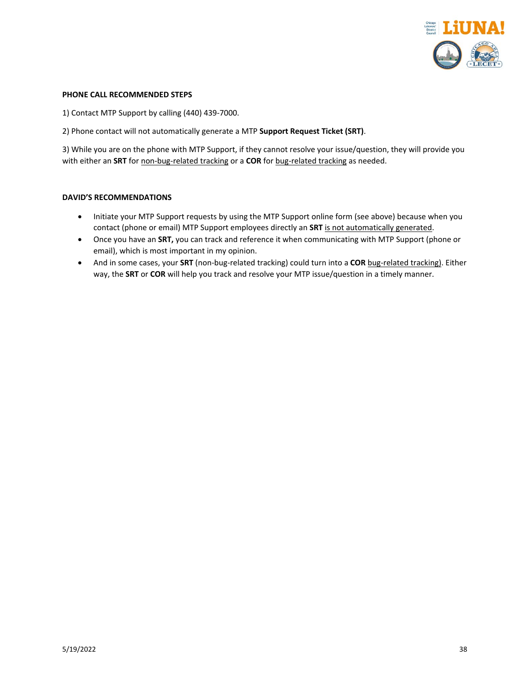

#### **PHONE CALL RECOMMENDED STEPS**

1) Contact MTP Support by calling (440) 439-7000.

2) Phone contact will not automatically generate a MTP **Support Request Ticket (SRT)**.

3) While you are on the phone with MTP Support, if they cannot resolve your issue/question, they will provide you with either an **SRT** for non-bug-related tracking or a **COR** for bug-related tracking as needed.

#### **DAVID'S RECOMMENDATIONS**

- Initiate your MTP Support requests by using the MTP Support online form (see above) because when you contact (phone or email) MTP Support employees directly an **SRT** is not automatically generated.
- Once you have an **SRT,** you can track and reference it when communicating with MTP Support (phone or email), which is most important in my opinion.
- And in some cases, your **SRT** (non-bug-related tracking) could turn into a **COR** bug-related tracking). Either way, the **SRT** or **COR** will help you track and resolve your MTP issue/question in a timely manner.